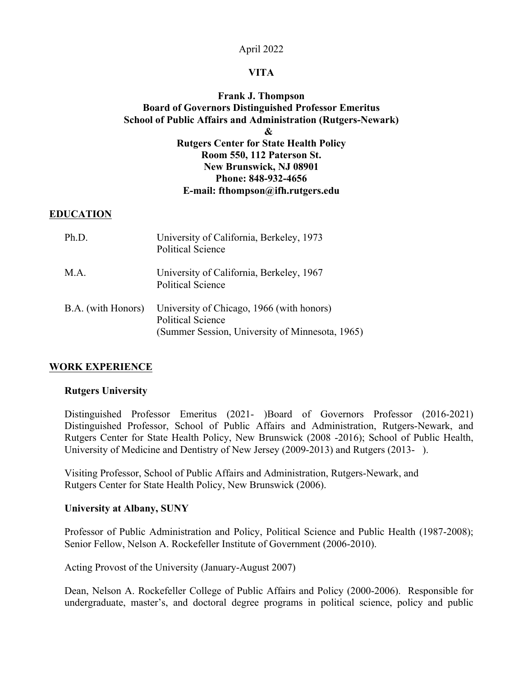### April 2022

### **VITA**

## **Frank J. Thompson Board of Governors Distinguished Professor Emeritus School of Public Affairs and Administration (Rutgers-Newark) & Rutgers Center for State Health Policy Room 550, 112 Paterson St. New Brunswick, NJ 08901 Phone: 848-932-4656 E-mail: fthompson@ifh.rutgers.edu**

#### **EDUCATION**

| Ph.D.              | University of California, Berkeley, 1973<br><b>Political Science</b>                                                     |
|--------------------|--------------------------------------------------------------------------------------------------------------------------|
| M.A.               | University of California, Berkeley, 1967<br><b>Political Science</b>                                                     |
| B.A. (with Honors) | University of Chicago, 1966 (with honors)<br><b>Political Science</b><br>(Summer Session, University of Minnesota, 1965) |

#### **WORK EXPERIENCE**

#### **Rutgers University**

Distinguished Professor Emeritus (2021- )Board of Governors Professor (2016-2021) Distinguished Professor, School of Public Affairs and Administration, Rutgers-Newark, and Rutgers Center for State Health Policy, New Brunswick (2008 -2016); School of Public Health, University of Medicine and Dentistry of New Jersey (2009-2013) and Rutgers (2013- ).

Visiting Professor, School of Public Affairs and Administration, Rutgers-Newark, and Rutgers Center for State Health Policy, New Brunswick (2006).

#### **University at Albany, SUNY**

Professor of Public Administration and Policy, Political Science and Public Health (1987-2008); Senior Fellow, Nelson A. Rockefeller Institute of Government (2006-2010).

Acting Provost of the University (January-August 2007)

Dean, Nelson A. Rockefeller College of Public Affairs and Policy (2000-2006). Responsible for undergraduate, master's, and doctoral degree programs in political science, policy and public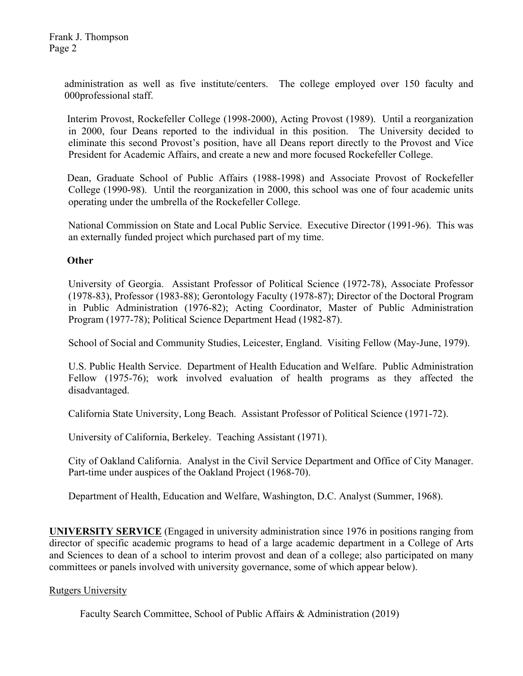administration as well as five institute/centers. The college employed over 150 faculty and 000professional staff.

Interim Provost, Rockefeller College (1998-2000), Acting Provost (1989). Until a reorganization in 2000, four Deans reported to the individual in this position. The University decided to eliminate this second Provost's position, have all Deans report directly to the Provost and Vice President for Academic Affairs, and create a new and more focused Rockefeller College.

Dean, Graduate School of Public Affairs (1988-1998) and Associate Provost of Rockefeller College (1990-98). Until the reorganization in 2000, this school was one of four academic units operating under the umbrella of the Rockefeller College.

National Commission on State and Local Public Service. Executive Director (1991-96). This was an externally funded project which purchased part of my time.

### **Other**

University of Georgia. Assistant Professor of Political Science (1972-78), Associate Professor (1978-83), Professor (1983-88); Gerontology Faculty (1978-87); Director of the Doctoral Program in Public Administration (1976-82); Acting Coordinator, Master of Public Administration Program (1977-78); Political Science Department Head (1982-87).

School of Social and Community Studies, Leicester, England. Visiting Fellow (May-June, 1979).

U.S. Public Health Service. Department of Health Education and Welfare. Public Administration Fellow (1975-76); work involved evaluation of health programs as they affected the disadvantaged.

California State University, Long Beach. Assistant Professor of Political Science (1971-72).

University of California, Berkeley. Teaching Assistant (1971).

City of Oakland California. Analyst in the Civil Service Department and Office of City Manager. Part-time under auspices of the Oakland Project (1968-70).

Department of Health, Education and Welfare, Washington, D.C. Analyst (Summer, 1968).

**UNIVERSITY SERVICE** (Engaged in university administration since 1976 in positions ranging from director of specific academic programs to head of a large academic department in a College of Arts and Sciences to dean of a school to interim provost and dean of a college; also participated on many committees or panels involved with university governance, some of which appear below).

## Rutgers University

Faculty Search Committee, School of Public Affairs & Administration (2019)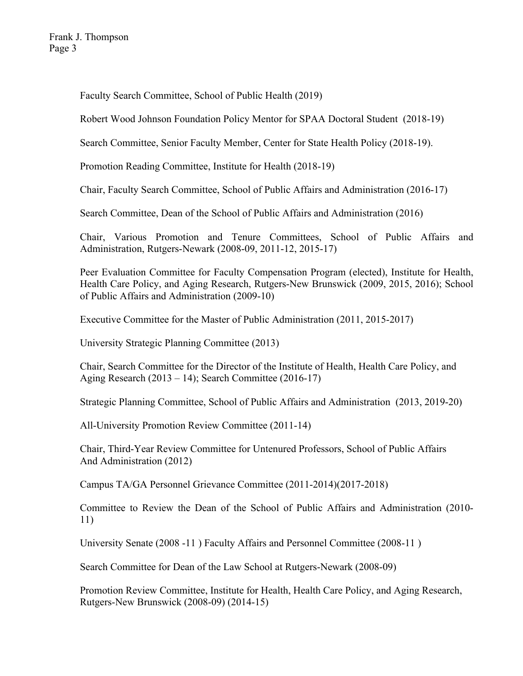Faculty Search Committee, School of Public Health (2019)

Robert Wood Johnson Foundation Policy Mentor for SPAA Doctoral Student (2018-19)

Search Committee, Senior Faculty Member, Center for State Health Policy (2018-19).

Promotion Reading Committee, Institute for Health (2018-19)

Chair, Faculty Search Committee, School of Public Affairs and Administration (2016-17)

Search Committee, Dean of the School of Public Affairs and Administration (2016)

Chair, Various Promotion and Tenure Committees, School of Public Affairs and Administration, Rutgers-Newark (2008-09, 2011-12, 2015-17)

Peer Evaluation Committee for Faculty Compensation Program (elected), Institute for Health, Health Care Policy, and Aging Research, Rutgers-New Brunswick (2009, 2015, 2016); School of Public Affairs and Administration (2009-10)

Executive Committee for the Master of Public Administration (2011, 2015-2017)

University Strategic Planning Committee (2013)

Chair, Search Committee for the Director of the Institute of Health, Health Care Policy, and Aging Research (2013 – 14); Search Committee (2016-17)

Strategic Planning Committee, School of Public Affairs and Administration (2013, 2019-20)

All-University Promotion Review Committee (2011-14)

Chair, Third-Year Review Committee for Untenured Professors, School of Public Affairs And Administration (2012)

Campus TA/GA Personnel Grievance Committee (2011-2014)(2017-2018)

Committee to Review the Dean of the School of Public Affairs and Administration (2010- 11)

University Senate (2008 -11 ) Faculty Affairs and Personnel Committee (2008-11 )

Search Committee for Dean of the Law School at Rutgers-Newark (2008-09)

Promotion Review Committee, Institute for Health, Health Care Policy, and Aging Research, Rutgers-New Brunswick (2008-09) (2014-15)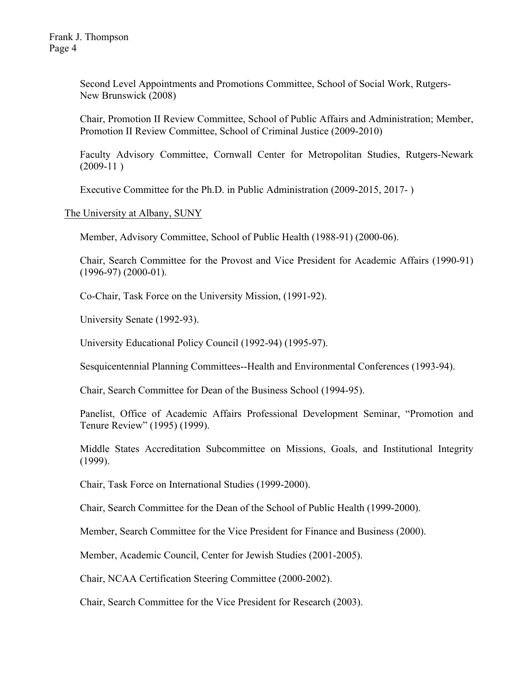Second Level Appointments and Promotions Committee, School of Social Work, Rutgers-New Brunswick (2008)

Chair, Promotion II Review Committee, School of Public Affairs and Administration; Member, Promotion II Review Committee, School of Criminal Justice (2009-2010)

Faculty Advisory Committee, Cornwall Center for Metropolitan Studies, Rutgers-Newark  $(2009-11)$ 

Executive Committee for the Ph.D. in Public Administration (2009-2015, 2017- )

The University at Albany, SUNY

Member, Advisory Committee, School of Public Health (1988-91) (2000-06).

Chair, Search Committee for the Provost and Vice President for Academic Affairs (1990-91) (1996-97) (2000-01).

Co-Chair, Task Force on the University Mission, (1991-92).

University Senate (1992-93).

University Educational Policy Council (1992-94) (1995-97).

Sesquicentennial Planning Committees--Health and Environmental Conferences (1993-94).

Chair, Search Committee for Dean of the Business School (1994-95).

Panelist, Office of Academic Affairs Professional Development Seminar, "Promotion and Tenure Review" (1995) (1999).

Middle States Accreditation Subcommittee on Missions, Goals, and Institutional Integrity (1999).

Chair, Task Force on International Studies (1999-2000).

Chair, Search Committee for the Dean of the School of Public Health (1999-2000).

Member, Search Committee for the Vice President for Finance and Business (2000).

Member, Academic Council, Center for Jewish Studies (2001-2005).

Chair, NCAA Certification Steering Committee (2000-2002).

Chair, Search Committee for the Vice President for Research (2003).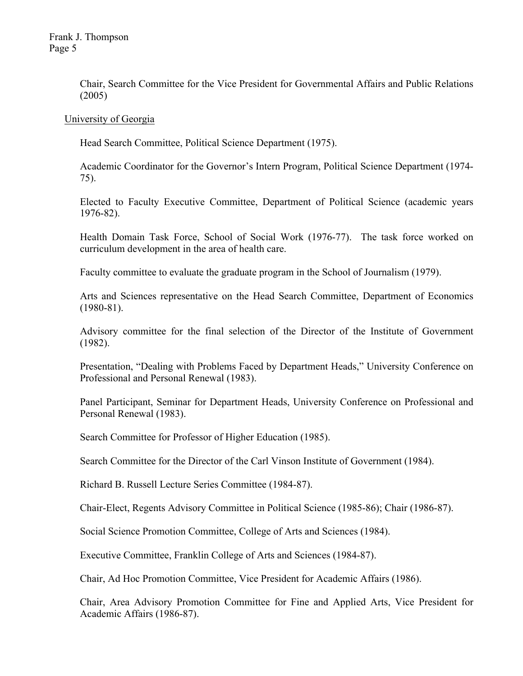Frank J. Thompson Page 5

> Chair, Search Committee for the Vice President for Governmental Affairs and Public Relations (2005)

University of Georgia

Head Search Committee, Political Science Department (1975).

Academic Coordinator for the Governor's Intern Program, Political Science Department (1974- 75).

Elected to Faculty Executive Committee, Department of Political Science (academic years 1976-82).

Health Domain Task Force, School of Social Work (1976-77). The task force worked on curriculum development in the area of health care.

Faculty committee to evaluate the graduate program in the School of Journalism (1979).

Arts and Sciences representative on the Head Search Committee, Department of Economics  $(1980-81)$ .

Advisory committee for the final selection of the Director of the Institute of Government (1982).

Presentation, "Dealing with Problems Faced by Department Heads," University Conference on Professional and Personal Renewal (1983).

Panel Participant, Seminar for Department Heads, University Conference on Professional and Personal Renewal (1983).

Search Committee for Professor of Higher Education (1985).

Search Committee for the Director of the Carl Vinson Institute of Government (1984).

Richard B. Russell Lecture Series Committee (1984-87).

Chair-Elect, Regents Advisory Committee in Political Science (1985-86); Chair (1986-87).

Social Science Promotion Committee, College of Arts and Sciences (1984).

Executive Committee, Franklin College of Arts and Sciences (1984-87).

Chair, Ad Hoc Promotion Committee, Vice President for Academic Affairs (1986).

Chair, Area Advisory Promotion Committee for Fine and Applied Arts, Vice President for Academic Affairs (1986-87).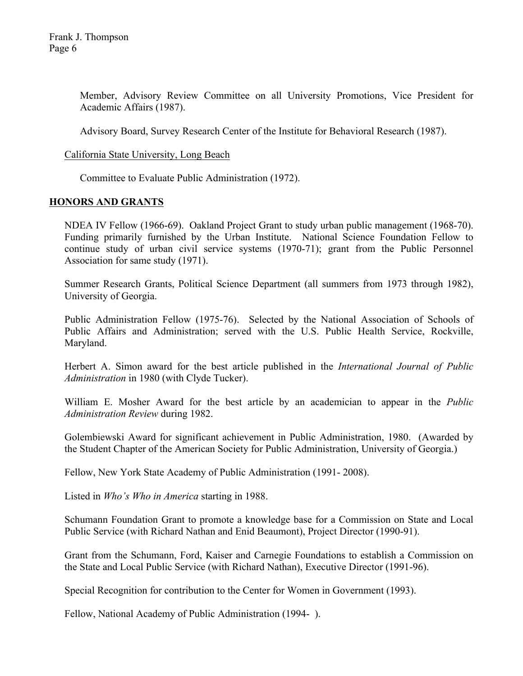Member, Advisory Review Committee on all University Promotions, Vice President for Academic Affairs (1987).

Advisory Board, Survey Research Center of the Institute for Behavioral Research (1987).

### California State University, Long Beach

Committee to Evaluate Public Administration (1972).

### **HONORS AND GRANTS**

NDEA IV Fellow (1966-69). Oakland Project Grant to study urban public management (1968-70). Funding primarily furnished by the Urban Institute. National Science Foundation Fellow to continue study of urban civil service systems (1970-71); grant from the Public Personnel Association for same study (1971).

Summer Research Grants, Political Science Department (all summers from 1973 through 1982), University of Georgia.

Public Administration Fellow (1975-76). Selected by the National Association of Schools of Public Affairs and Administration; served with the U.S. Public Health Service, Rockville, Maryland.

Herbert A. Simon award for the best article published in the *International Journal of Public Administration* in 1980 (with Clyde Tucker).

William E. Mosher Award for the best article by an academician to appear in the *Public Administration Review* during 1982.

Golembiewski Award for significant achievement in Public Administration, 1980. (Awarded by the Student Chapter of the American Society for Public Administration, University of Georgia.)

Fellow, New York State Academy of Public Administration (1991- 2008).

Listed in *Who's Who in America* starting in 1988.

Schumann Foundation Grant to promote a knowledge base for a Commission on State and Local Public Service (with Richard Nathan and Enid Beaumont), Project Director (1990-91).

Grant from the Schumann, Ford, Kaiser and Carnegie Foundations to establish a Commission on the State and Local Public Service (with Richard Nathan), Executive Director (1991-96).

Special Recognition for contribution to the Center for Women in Government (1993).

Fellow, National Academy of Public Administration (1994- ).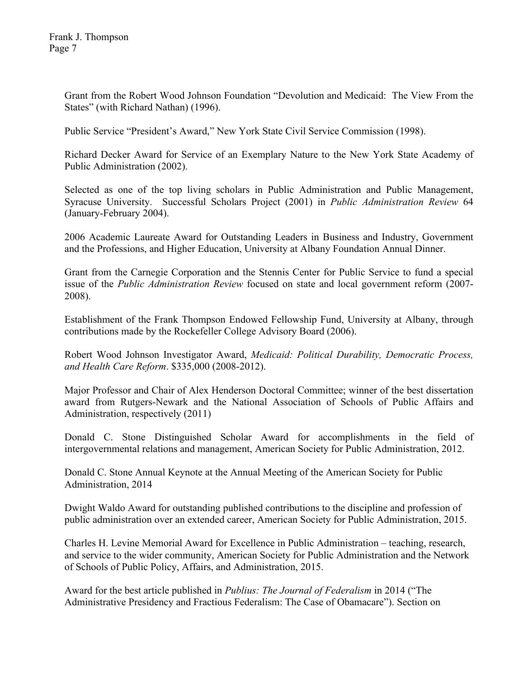Grant from the Robert Wood Johnson Foundation "Devolution and Medicaid: The View From the States" (with Richard Nathan) (1996).

Public Service "President's Award," New York State Civil Service Commission (1998).

Richard Decker Award for Service of an Exemplary Nature to the New York State Academy of Public Administration (2002).

Selected as one of the top living scholars in Public Administration and Public Management, Syracuse University. Successful Scholars Project (2001) in *Public Administration Review* 64 (January-February 2004).

2006 Academic Laureate Award for Outstanding Leaders in Business and Industry, Government and the Professions, and Higher Education, University at Albany Foundation Annual Dinner.

Grant from the Carnegie Corporation and the Stennis Center for Public Service to fund a special issue of the *Public Administration Review* focused on state and local government reform (2007- 2008).

Establishment of the Frank Thompson Endowed Fellowship Fund, University at Albany, through contributions made by the Rockefeller College Advisory Board (2006).

Robert Wood Johnson Investigator Award, *Medicaid: Political Durability, Democratic Process, and Health Care Reform*. \$335,000 (2008-2012).

Major Professor and Chair of Alex Henderson Doctoral Committee; winner of the best dissertation award from Rutgers-Newark and the National Association of Schools of Public Affairs and Administration, respectively (2011)

Donald C. Stone Distinguished Scholar Award for accomplishments in the field of intergovernmental relations and management, American Society for Public Administration, 2012.

Donald C. Stone Annual Keynote at the Annual Meeting of the American Society for Public Administration, 2014

Dwight Waldo Award for outstanding published contributions to the discipline and profession of public administration over an extended career, American Society for Public Administration, 2015.

Charles H. Levine Memorial Award for Excellence in Public Administration – teaching, research, and service to the wider community, American Society for Public Administration and the Network of Schools of Public Policy, Affairs, and Administration, 2015.

Award for the best article published in *Publius: The Journal of Federalism* in 2014 ("The Administrative Presidency and Fractious Federalism: The Case of Obamacare"). Section on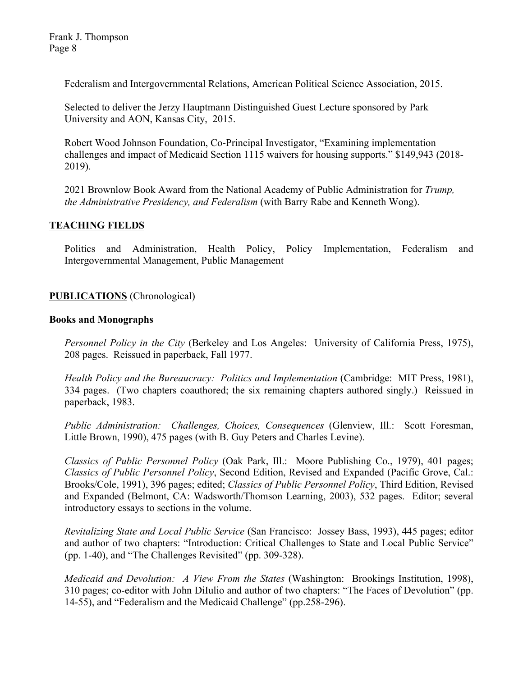Federalism and Intergovernmental Relations, American Political Science Association, 2015.

Selected to deliver the Jerzy Hauptmann Distinguished Guest Lecture sponsored by Park University and AON, Kansas City, 2015.

Robert Wood Johnson Foundation, Co-Principal Investigator, "Examining implementation challenges and impact of Medicaid Section 1115 waivers for housing supports." \$149,943 (2018- 2019).

2021 Brownlow Book Award from the National Academy of Public Administration for *Trump, the Administrative Presidency, and Federalism* (with Barry Rabe and Kenneth Wong).

## **TEACHING FIELDS**

Politics and Administration, Health Policy, Policy Implementation, Federalism and Intergovernmental Management, Public Management

## **PUBLICATIONS** (Chronological)

### **Books and Monographs**

*Personnel Policy in the City* (Berkeley and Los Angeles: University of California Press, 1975), 208 pages. Reissued in paperback, Fall 1977.

*Health Policy and the Bureaucracy: Politics and Implementation* (Cambridge: MIT Press, 1981), 334 pages. (Two chapters coauthored; the six remaining chapters authored singly.) Reissued in paperback, 1983.

*Public Administration: Challenges, Choices, Consequences* (Glenview, Ill.: Scott Foresman, Little Brown, 1990), 475 pages (with B. Guy Peters and Charles Levine).

*Classics of Public Personnel Policy* (Oak Park, Ill.: Moore Publishing Co., 1979), 401 pages; *Classics of Public Personnel Policy*, Second Edition, Revised and Expanded (Pacific Grove, Cal.: Brooks/Cole, 1991), 396 pages; edited; *Classics of Public Personnel Policy*, Third Edition, Revised and Expanded (Belmont, CA: Wadsworth/Thomson Learning, 2003), 532 pages. Editor; several introductory essays to sections in the volume.

*Revitalizing State and Local Public Service* (San Francisco: Jossey Bass, 1993), 445 pages; editor and author of two chapters: "Introduction: Critical Challenges to State and Local Public Service" (pp. 1-40), and "The Challenges Revisited" (pp. 309-328).

*Medicaid and Devolution: A View From the States* (Washington: Brookings Institution, 1998), 310 pages; co-editor with John DiIulio and author of two chapters: "The Faces of Devolution" (pp. 14-55), and "Federalism and the Medicaid Challenge" (pp.258-296).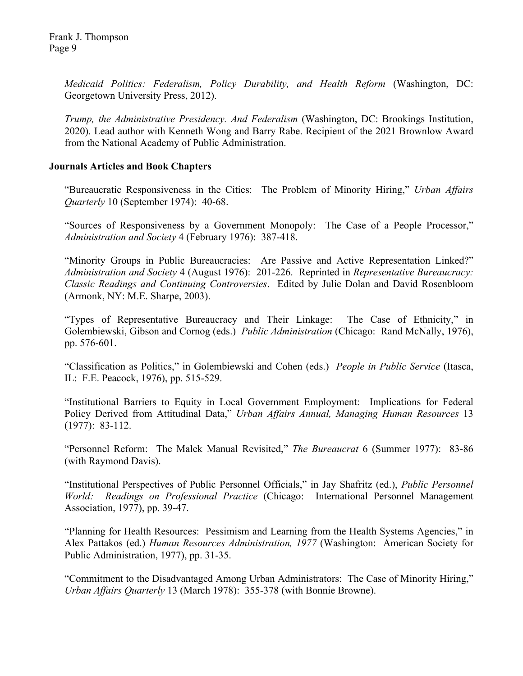Frank J. Thompson Page 9

> *Medicaid Politics: Federalism, Policy Durability, and Health Reform* (Washington, DC: Georgetown University Press, 2012).

> *Trump, the Administrative Presidency. And Federalism* (Washington, DC: Brookings Institution, 2020). Lead author with Kenneth Wong and Barry Rabe. Recipient of the 2021 Brownlow Award from the National Academy of Public Administration.

### **Journals Articles and Book Chapters**

"Bureaucratic Responsiveness in the Cities: The Problem of Minority Hiring," *Urban Affairs Quarterly* 10 (September 1974): 40-68.

"Sources of Responsiveness by a Government Monopoly: The Case of a People Processor," *Administration and Society* 4 (February 1976): 387-418.

"Minority Groups in Public Bureaucracies: Are Passive and Active Representation Linked?" *Administration and Society* 4 (August 1976): 201-226. Reprinted in *Representative Bureaucracy: Classic Readings and Continuing Controversies*. Edited by Julie Dolan and David Rosenbloom (Armonk, NY: M.E. Sharpe, 2003).

"Types of Representative Bureaucracy and Their Linkage: The Case of Ethnicity," in Golembiewski, Gibson and Cornog (eds.) *Public Administration* (Chicago: Rand McNally, 1976), pp. 576-601.

"Classification as Politics," in Golembiewski and Cohen (eds.) *People in Public Service* (Itasca, IL: F.E. Peacock, 1976), pp. 515-529.

"Institutional Barriers to Equity in Local Government Employment: Implications for Federal Policy Derived from Attitudinal Data," *Urban Affairs Annual, Managing Human Resources* 13 (1977): 83-112.

"Personnel Reform: The Malek Manual Revisited," *The Bureaucrat* 6 (Summer 1977): 83-86 (with Raymond Davis).

"Institutional Perspectives of Public Personnel Officials," in Jay Shafritz (ed.), *Public Personnel World: Readings on Professional Practice* (Chicago: International Personnel Management Association, 1977), pp. 39-47.

"Planning for Health Resources: Pessimism and Learning from the Health Systems Agencies," in Alex Pattakos (ed.) *Human Resources Administration, 1977* (Washington: American Society for Public Administration, 1977), pp. 31-35.

"Commitment to the Disadvantaged Among Urban Administrators: The Case of Minority Hiring," *Urban Affairs Quarterly* 13 (March 1978): 355-378 (with Bonnie Browne).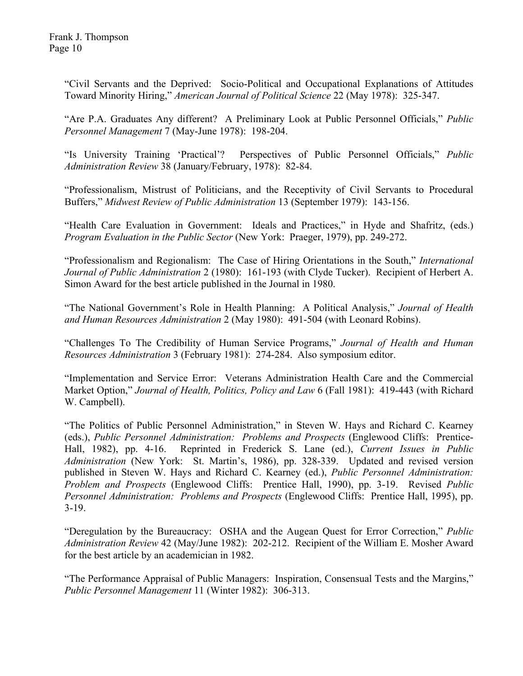"Civil Servants and the Deprived: Socio-Political and Occupational Explanations of Attitudes Toward Minority Hiring," *American Journal of Political Science* 22 (May 1978): 325-347.

"Are P.A. Graduates Any different? A Preliminary Look at Public Personnel Officials," *Public Personnel Management* 7 (May-June 1978): 198-204.

"Is University Training 'Practical'? Perspectives of Public Personnel Officials," *Public Administration Review* 38 (January/February, 1978): 82-84.

"Professionalism, Mistrust of Politicians, and the Receptivity of Civil Servants to Procedural Buffers," *Midwest Review of Public Administration* 13 (September 1979): 143-156.

"Health Care Evaluation in Government: Ideals and Practices," in Hyde and Shafritz, (eds.) *Program Evaluation in the Public Sector* (New York: Praeger, 1979), pp. 249-272.

"Professionalism and Regionalism: The Case of Hiring Orientations in the South," *International Journal of Public Administration* 2 (1980): 161-193 (with Clyde Tucker). Recipient of Herbert A. Simon Award for the best article published in the Journal in 1980.

"The National Government's Role in Health Planning: A Political Analysis," *Journal of Health and Human Resources Administration* 2 (May 1980): 491-504 (with Leonard Robins).

"Challenges To The Credibility of Human Service Programs," *Journal of Health and Human Resources Administration* 3 (February 1981): 274-284. Also symposium editor.

"Implementation and Service Error: Veterans Administration Health Care and the Commercial Market Option," *Journal of Health, Politics, Policy and Law* 6 (Fall 1981): 419-443 (with Richard W. Campbell).

"The Politics of Public Personnel Administration," in Steven W. Hays and Richard C. Kearney (eds.), *Public Personnel Administration: Problems and Prospects* (Englewood Cliffs: Prentice-Hall, 1982), pp. 4-16. Reprinted in Frederick S. Lane (ed.), *Current Issues in Public Administration* (New York: St. Martin's, 1986), pp. 328-339. Updated and revised version published in Steven W. Hays and Richard C. Kearney (ed.), *Public Personnel Administration: Problem and Prospects* (Englewood Cliffs: Prentice Hall, 1990), pp. 3-19. Revised *Public Personnel Administration: Problems and Prospects* (Englewood Cliffs: Prentice Hall, 1995), pp. 3-19.

"Deregulation by the Bureaucracy: OSHA and the Augean Quest for Error Correction," *Public Administration Review* 42 (May/June 1982): 202-212. Recipient of the William E. Mosher Award for the best article by an academician in 1982.

"The Performance Appraisal of Public Managers: Inspiration, Consensual Tests and the Margins," *Public Personnel Management* 11 (Winter 1982): 306-313.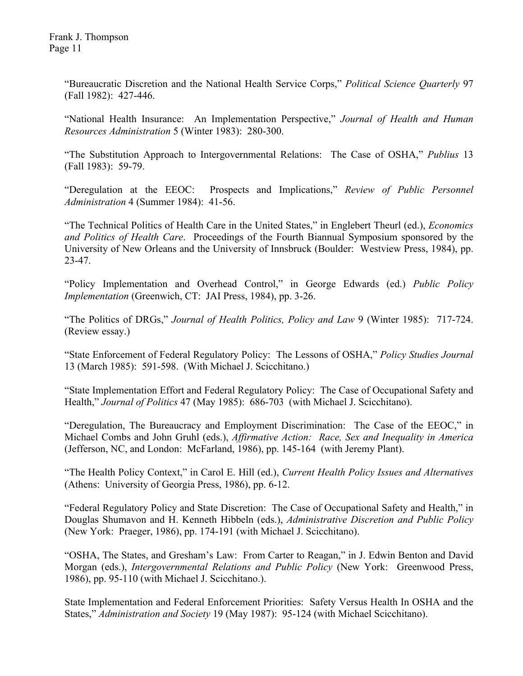"Bureaucratic Discretion and the National Health Service Corps," *Political Science Quarterly* 97 (Fall 1982): 427-446.

"National Health Insurance: An Implementation Perspective," *Journal of Health and Human Resources Administration* 5 (Winter 1983): 280-300.

"The Substitution Approach to Intergovernmental Relations: The Case of OSHA," *Publius* 13 (Fall 1983): 59-79.

"Deregulation at the EEOC: Prospects and Implications," *Review of Public Personnel Administration* 4 (Summer 1984): 41-56.

"The Technical Politics of Health Care in the United States," in Englebert Theurl (ed.), *Economics and Politics of Health Care*. Proceedings of the Fourth Biannual Symposium sponsored by the University of New Orleans and the University of Innsbruck (Boulder: Westview Press, 1984), pp. 23-47.

"Policy Implementation and Overhead Control," in George Edwards (ed.) *Public Policy Implementation* (Greenwich, CT: JAI Press, 1984), pp. 3-26.

"The Politics of DRGs," *Journal of Health Politics, Policy and Law* 9 (Winter 1985): 717-724. (Review essay.)

"State Enforcement of Federal Regulatory Policy: The Lessons of OSHA," *Policy Studies Journal* 13 (March 1985): 591-598. (With Michael J. Scicchitano.)

"State Implementation Effort and Federal Regulatory Policy: The Case of Occupational Safety and Health," *Journal of Politics* 47 (May 1985): 686-703 (with Michael J. Scicchitano).

"Deregulation, The Bureaucracy and Employment Discrimination: The Case of the EEOC," in Michael Combs and John Gruhl (eds.), *Affirmative Action: Race, Sex and Inequality in America* (Jefferson, NC, and London: McFarland, 1986), pp. 145-164 (with Jeremy Plant).

"The Health Policy Context," in Carol E. Hill (ed.), *Current Health Policy Issues and Alternatives* (Athens: University of Georgia Press, 1986), pp. 6-12.

"Federal Regulatory Policy and State Discretion: The Case of Occupational Safety and Health," in Douglas Shumavon and H. Kenneth Hibbeln (eds.), *Administrative Discretion and Public Policy* (New York: Praeger, 1986), pp. 174-191 (with Michael J. Scicchitano).

"OSHA, The States, and Gresham's Law: From Carter to Reagan," in J. Edwin Benton and David Morgan (eds.), *Intergovernmental Relations and Public Policy* (New York: Greenwood Press, 1986), pp. 95-110 (with Michael J. Scicchitano.).

State Implementation and Federal Enforcement Priorities: Safety Versus Health In OSHA and the States," *Administration and Society* 19 (May 1987): 95-124 (with Michael Scicchitano).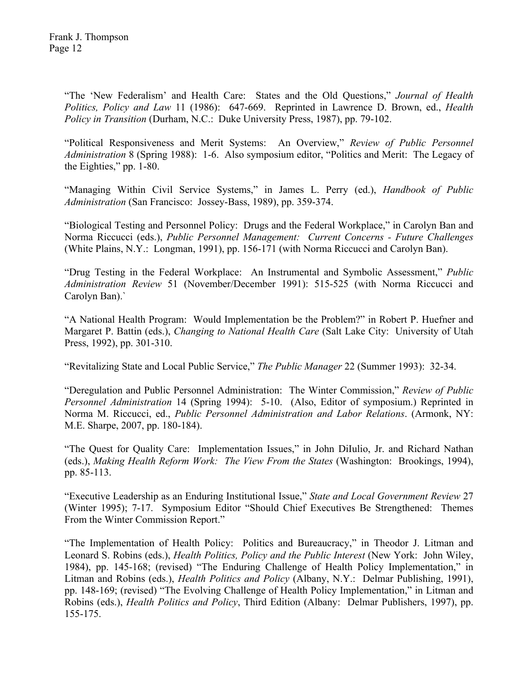"The 'New Federalism' and Health Care: States and the Old Questions," *Journal of Health Politics, Policy and Law* 11 (1986): 647-669. Reprinted in Lawrence D. Brown, ed., *Health Policy in Transition* (Durham, N.C.: Duke University Press, 1987), pp. 79-102.

"Political Responsiveness and Merit Systems: An Overview," *Review of Public Personnel Administration* 8 (Spring 1988): 1-6. Also symposium editor, "Politics and Merit: The Legacy of the Eighties," pp. 1-80.

"Managing Within Civil Service Systems," in James L. Perry (ed.), *Handbook of Public Administration* (San Francisco: Jossey-Bass, 1989), pp. 359-374.

"Biological Testing and Personnel Policy: Drugs and the Federal Workplace," in Carolyn Ban and Norma Riccucci (eds.), *Public Personnel Management: Current Concerns - Future Challenges* (White Plains, N.Y.: Longman, 1991), pp. 156-171 (with Norma Riccucci and Carolyn Ban).

"Drug Testing in the Federal Workplace: An Instrumental and Symbolic Assessment," *Public Administration Review* 51 (November/December 1991): 515-525 (with Norma Riccucci and Carolyn Ban).`

"A National Health Program: Would Implementation be the Problem?" in Robert P. Huefner and Margaret P. Battin (eds.), *Changing to National Health Care* (Salt Lake City: University of Utah Press, 1992), pp. 301-310.

"Revitalizing State and Local Public Service," *The Public Manager* 22 (Summer 1993): 32-34.

"Deregulation and Public Personnel Administration: The Winter Commission," *Review of Public Personnel Administration* 14 (Spring 1994): 5-10. (Also, Editor of symposium.) Reprinted in Norma M. Riccucci, ed., *Public Personnel Administration and Labor Relations*. (Armonk, NY: M.E. Sharpe, 2007, pp. 180-184).

"The Quest for Quality Care: Implementation Issues," in John DiIulio, Jr. and Richard Nathan (eds.), *Making Health Reform Work: The View From the States* (Washington: Brookings, 1994), pp. 85-113.

"Executive Leadership as an Enduring Institutional Issue," *State and Local Government Review* 27 (Winter 1995); 7-17. Symposium Editor "Should Chief Executives Be Strengthened: Themes From the Winter Commission Report."

"The Implementation of Health Policy: Politics and Bureaucracy," in Theodor J. Litman and Leonard S. Robins (eds.), *Health Politics, Policy and the Public Interest* (New York: John Wiley, 1984), pp. 145-168; (revised) "The Enduring Challenge of Health Policy Implementation," in Litman and Robins (eds.), *Health Politics and Policy* (Albany, N.Y.: Delmar Publishing, 1991), pp. 148-169; (revised) "The Evolving Challenge of Health Policy Implementation," in Litman and Robins (eds.), *Health Politics and Policy*, Third Edition (Albany: Delmar Publishers, 1997), pp. 155-175.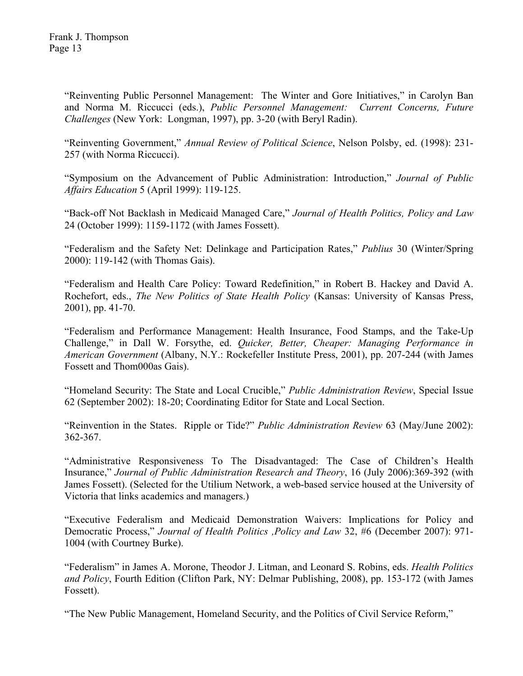"Reinventing Public Personnel Management: The Winter and Gore Initiatives," in Carolyn Ban and Norma M. Riccucci (eds.), *Public Personnel Management: Current Concerns, Future Challenges* (New York: Longman, 1997), pp. 3-20 (with Beryl Radin).

"Reinventing Government," *Annual Review of Political Science*, Nelson Polsby, ed. (1998): 231- 257 (with Norma Riccucci).

"Symposium on the Advancement of Public Administration: Introduction," *Journal of Public Affairs Education* 5 (April 1999): 119-125.

"Back-off Not Backlash in Medicaid Managed Care," *Journal of Health Politics, Policy and Law* 24 (October 1999): 1159-1172 (with James Fossett).

"Federalism and the Safety Net: Delinkage and Participation Rates," *Publius* 30 (Winter/Spring 2000): 119-142 (with Thomas Gais).

"Federalism and Health Care Policy: Toward Redefinition," in Robert B. Hackey and David A. Rochefort, eds., *The New Politics of State Health Policy* (Kansas: University of Kansas Press, 2001), pp. 41-70.

"Federalism and Performance Management: Health Insurance, Food Stamps, and the Take-Up Challenge," in Dall W. Forsythe, ed. *Quicker, Better, Cheaper: Managing Performance in American Government* (Albany, N.Y.: Rockefeller Institute Press, 2001), pp. 207-244 (with James Fossett and Thom000as Gais).

"Homeland Security: The State and Local Crucible," *Public Administration Review*, Special Issue 62 (September 2002): 18-20; Coordinating Editor for State and Local Section.

"Reinvention in the States. Ripple or Tide?" *Public Administration Review* 63 (May/June 2002): 362-367.

"Administrative Responsiveness To The Disadvantaged: The Case of Children's Health Insurance," *Journal of Public Administration Research and Theory*, 16 (July 2006):369-392 (with James Fossett). (Selected for the Utilium Network, a web-based service housed at the University of Victoria that links academics and managers.)

"Executive Federalism and Medicaid Demonstration Waivers: Implications for Policy and Democratic Process," *Journal of Health Politics ,Policy and Law* 32, #6 (December 2007): 971- 1004 (with Courtney Burke).

"Federalism" in James A. Morone, Theodor J. Litman, and Leonard S. Robins, eds. *Health Politics and Policy*, Fourth Edition (Clifton Park, NY: Delmar Publishing, 2008), pp. 153-172 (with James Fossett).

"The New Public Management, Homeland Security, and the Politics of Civil Service Reform,"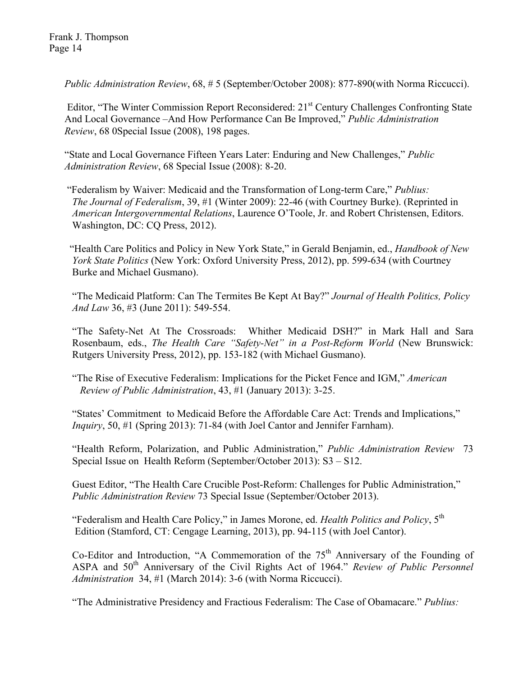*Public Administration Review*, 68, # 5 (September/October 2008): 877-890(with Norma Riccucci).

Editor, "The Winter Commission Report Reconsidered: 21<sup>st</sup> Century Challenges Confronting State And Local Governance –And How Performance Can Be Improved," *Public Administration Review*, 68 0Special Issue (2008), 198 pages.

 "State and Local Governance Fifteen Years Later: Enduring and New Challenges," *Public Administration Review*, 68 Special Issue (2008): 8-20.

 "Federalism by Waiver: Medicaid and the Transformation of Long-term Care," *Publius: The Journal of Federalism*, 39, #1 (Winter 2009): 22-46 (with Courtney Burke). (Reprinted in  *American Intergovernmental Relations*, Laurence O'Toole, Jr. and Robert Christensen, Editors. Washington, DC: CQ Press, 2012).

 "Health Care Politics and Policy in New York State," in Gerald Benjamin, ed., *Handbook of New York State Politics* (New York: Oxford University Press, 2012), pp. 599-634 (with Courtney Burke and Michael Gusmano).

 "The Medicaid Platform: Can The Termites Be Kept At Bay?" *Journal of Health Politics, Policy And Law* 36, #3 (June 2011): 549-554.

"The Safety-Net At The Crossroads: Whither Medicaid DSH?" in Mark Hall and Sara Rosenbaum, eds., *The Health Care "Safety-Net" in a Post-Reform World* (New Brunswick: Rutgers University Press, 2012), pp. 153-182 (with Michael Gusmano).

"The Rise of Executive Federalism: Implications for the Picket Fence and IGM," *American Review of Public Administration*, 43, #1 (January 2013): 3-25.

"States' Commitment to Medicaid Before the Affordable Care Act: Trends and Implications," *Inquiry*, 50, #1 (Spring 2013): 71-84 (with Joel Cantor and Jennifer Farnham).

"Health Reform, Polarization, and Public Administration," *Public Administration Review* 73 Special Issue on Health Reform (September/October 2013): S3 – S12.

Guest Editor, "The Health Care Crucible Post-Reform: Challenges for Public Administration," *Public Administration Review* 73 Special Issue (September/October 2013).

"Federalism and Health Care Policy," in James Morone, ed. *Health Politics and Policy*, 5th Edition (Stamford, CT: Cengage Learning, 2013), pp. 94-115 (with Joel Cantor).

Co-Editor and Introduction, "A Commemoration of the  $75<sup>th</sup>$  Anniversary of the Founding of ASPA and 50<sup>th</sup> Anniversary of the Civil Rights Act of 1964." *Review of Public Personnel Administration* 34, #1 (March 2014): 3-6 (with Norma Riccucci).

"The Administrative Presidency and Fractious Federalism: The Case of Obamacare." *Publius:*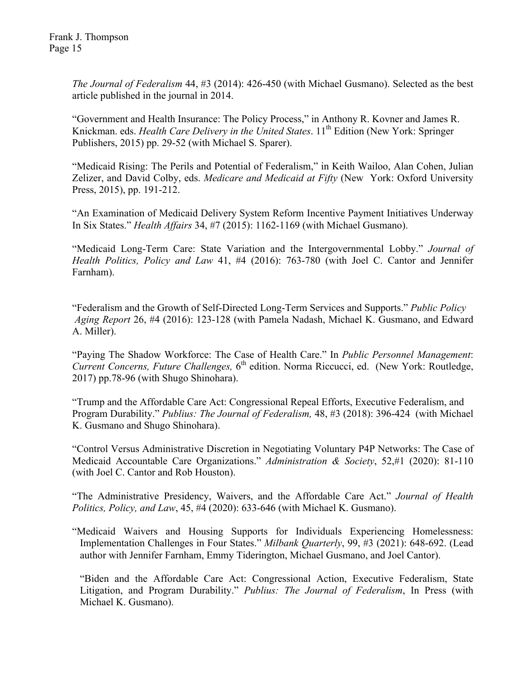*The Journal of Federalism* 44, #3 (2014): 426-450 (with Michael Gusmano). Selected as the best article published in the journal in 2014.

"Government and Health Insurance: The Policy Process," in Anthony R. Kovner and James R. Knickman. eds. *Health Care Delivery in the United States*. 11<sup>th</sup> Edition (New York: Springer Publishers, 2015) pp. 29-52 (with Michael S. Sparer).

"Medicaid Rising: The Perils and Potential of Federalism," in Keith Wailoo, Alan Cohen, Julian Zelizer, and David Colby, eds. *Medicare and Medicaid at Fifty* (New York: Oxford University Press, 2015), pp. 191-212.

"An Examination of Medicaid Delivery System Reform Incentive Payment Initiatives Underway In Six States." *Health Affairs* 34, #7 (2015): 1162-1169 (with Michael Gusmano).

"Medicaid Long-Term Care: State Variation and the Intergovernmental Lobby." *Journal of Health Politics, Policy and Law* 41, #4 (2016): 763-780 (with Joel C. Cantor and Jennifer Farnham).

 "Federalism and the Growth of Self-Directed Long-Term Services and Supports." *Public Policy Aging Report* 26, #4 (2016): 123-128 (with Pamela Nadash, Michael K. Gusmano, and Edward A. Miller).

"Paying The Shadow Workforce: The Case of Health Care." In *Public Personnel Management*: *Current Concerns, Future Challenges,* 6<sup>th</sup> edition. Norma Riccucci, ed. (New York: Routledge, 2017) pp.78-96 (with Shugo Shinohara).

"Trump and the Affordable Care Act: Congressional Repeal Efforts, Executive Federalism, and Program Durability." *Publius: The Journal of Federalism,* 48, #3 (2018): 396-424 (with Michael K. Gusmano and Shugo Shinohara).

"Control Versus Administrative Discretion in Negotiating Voluntary P4P Networks: The Case of Medicaid Accountable Care Organizations." *Administration & Society*, 52,#1 (2020): 81-110 (with Joel C. Cantor and Rob Houston).

"The Administrative Presidency, Waivers, and the Affordable Care Act." *Journal of Health Politics, Policy, and Law*, 45, #4 (2020): 633-646 (with Michael K. Gusmano).

"Medicaid Waivers and Housing Supports for Individuals Experiencing Homelessness: Implementation Challenges in Four States." *Milbank Quarterly*, 99, #3 (2021): 648-692. (Lead author with Jennifer Farnham, Emmy Tiderington, Michael Gusmano, and Joel Cantor).

"Biden and the Affordable Care Act: Congressional Action, Executive Federalism, State Litigation, and Program Durability." *Publius: The Journal of Federalism*, In Press (with Michael K. Gusmano).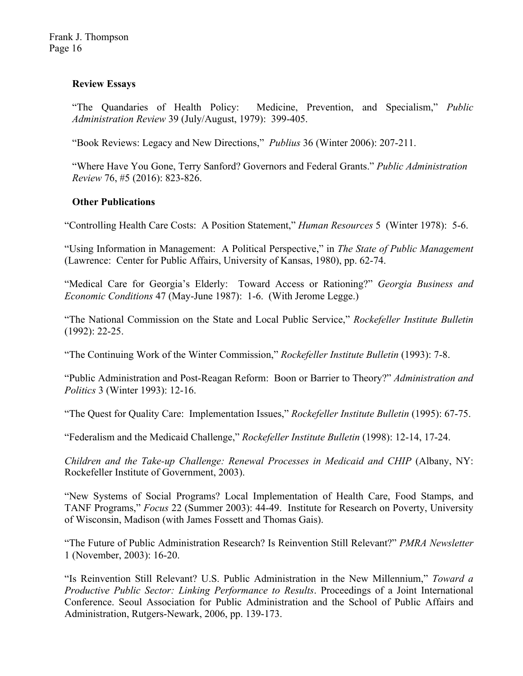## **Review Essays**

"The Quandaries of Health Policy: Medicine, Prevention, and Specialism," *Public Administration Review* 39 (July/August, 1979): 399-405.

"Book Reviews: Legacy and New Directions," *Publius* 36 (Winter 2006): 207-211.

"Where Have You Gone, Terry Sanford? Governors and Federal Grants." *Public Administration Review* 76, #5 (2016): 823-826.

# **Other Publications**

"Controlling Health Care Costs: A Position Statement," *Human Resources* 5 (Winter 1978): 5-6.

"Using Information in Management: A Political Perspective," in *The State of Public Management* (Lawrence: Center for Public Affairs, University of Kansas, 1980), pp. 62-74.

"Medical Care for Georgia's Elderly: Toward Access or Rationing?" *Georgia Business and Economic Conditions* 47 (May-June 1987): 1-6. (With Jerome Legge.)

"The National Commission on the State and Local Public Service," *Rockefeller Institute Bulletin* (1992): 22-25.

"The Continuing Work of the Winter Commission," *Rockefeller Institute Bulletin* (1993): 7-8.

"Public Administration and Post-Reagan Reform: Boon or Barrier to Theory?" *Administration and Politics* 3 (Winter 1993): 12-16.

"The Quest for Quality Care: Implementation Issues," *Rockefeller Institute Bulletin* (1995): 67-75.

"Federalism and the Medicaid Challenge," *Rockefeller Institute Bulletin* (1998): 12-14, 17-24.

*Children and the Take-up Challenge: Renewal Processes in Medicaid and CHIP* (Albany, NY: Rockefeller Institute of Government, 2003).

"New Systems of Social Programs? Local Implementation of Health Care, Food Stamps, and TANF Programs," *Focus* 22 (Summer 2003): 44-49. Institute for Research on Poverty, University of Wisconsin, Madison (with James Fossett and Thomas Gais).

"The Future of Public Administration Research? Is Reinvention Still Relevant?" *PMRA Newsletter* 1 (November, 2003): 16-20.

"Is Reinvention Still Relevant? U.S. Public Administration in the New Millennium," *Toward a Productive Public Sector: Linking Performance to Results*. Proceedings of a Joint International Conference. Seoul Association for Public Administration and the School of Public Affairs and Administration, Rutgers-Newark, 2006, pp. 139-173.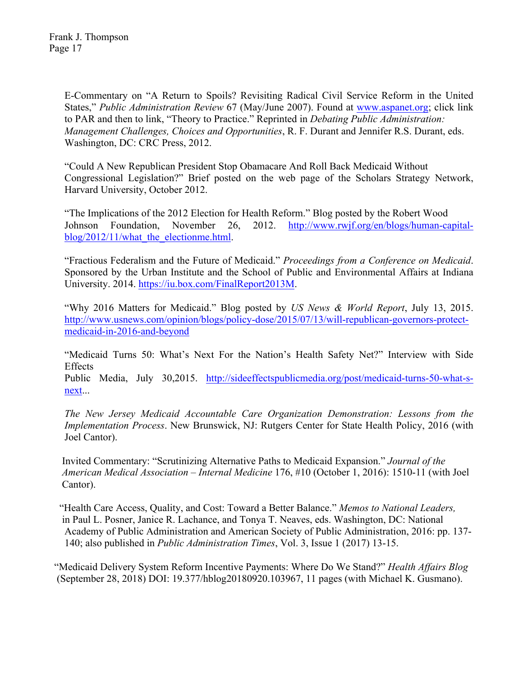Frank J. Thompson Page 17

> E-Commentary on "A Return to Spoils? Revisiting Radical Civil Service Reform in the United States," *Public Administration Review* 67 (May/June 2007). Found at www.aspanet.org; click link to PAR and then to link, "Theory to Practice." Reprinted in *Debating Public Administration: Management Challenges, Choices and Opportunities*, R. F. Durant and Jennifer R.S. Durant, eds. Washington, DC: CRC Press, 2012.

> "Could A New Republican President Stop Obamacare And Roll Back Medicaid Without Congressional Legislation?" Brief posted on the web page of the Scholars Strategy Network, Harvard University, October 2012.

> "The Implications of the 2012 Election for Health Reform." Blog posted by the Robert Wood Johnson Foundation, November 26, 2012. http://www.rwjf.org/en/blogs/human-capitalblog/2012/11/what the electionme.html.

> "Fractious Federalism and the Future of Medicaid." *Proceedings from a Conference on Medicaid*. Sponsored by the Urban Institute and the School of Public and Environmental Affairs at Indiana University. 2014. https://iu.box.com/FinalReport2013M.

> "Why 2016 Matters for Medicaid." Blog posted by *US News & World Report*, July 13, 2015. http://www.usnews.com/opinion/blogs/policy-dose/2015/07/13/will-republican-governors-protectmedicaid-in-2016-and-beyond

> "Medicaid Turns 50: What's Next For the Nation's Health Safety Net?" Interview with Side Effects

> Public Media, July 30,2015. http://sideeffectspublicmedia.org/post/medicaid-turns-50-what-snext...

> *The New Jersey Medicaid Accountable Care Organization Demonstration: Lessons from the Implementation Process*. New Brunswick, NJ: Rutgers Center for State Health Policy, 2016 (with Joel Cantor).

Invited Commentary: "Scrutinizing Alternative Paths to Medicaid Expansion." *Journal of the American Medical Association – Internal Medicine* 176, #10 (October 1, 2016): 1510-11 (with Joel Cantor).

 "Health Care Access, Quality, and Cost: Toward a Better Balance." *Memos to National Leaders,* in Paul L. Posner, Janice R. Lachance, and Tonya T. Neaves, eds. Washington, DC: National Academy of Public Administration and American Society of Public Administration, 2016: pp. 137- 140; also published in *Public Administration Times*, Vol. 3, Issue 1 (2017) 13-15.

 "Medicaid Delivery System Reform Incentive Payments: Where Do We Stand?" *Health Affairs Blog* (September 28, 2018) DOI: 19.377/hblog20180920.103967, 11 pages (with Michael K. Gusmano).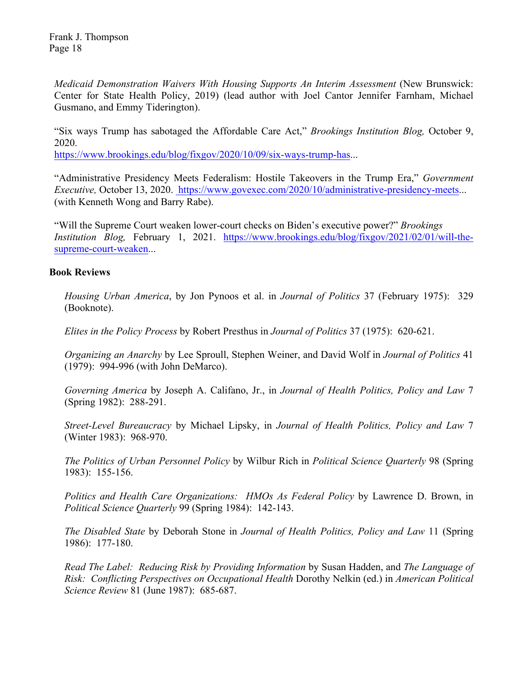*Medicaid Demonstration Waivers With Housing Supports An Interim Assessment* (New Brunswick: Center for State Health Policy, 2019) (lead author with Joel Cantor Jennifer Farnham, Michael Gusmano, and Emmy Tiderington).

"Six ways Trump has sabotaged the Affordable Care Act," *Brookings Institution Blog,* October 9, 2020.

https://www.brookings.edu/blog/fixgov/2020/10/09/six-ways-trump-has...

"Administrative Presidency Meets Federalism: Hostile Takeovers in the Trump Era," *Government Executive,* October 13, 2020. https://www.govexec.com/2020/10/administrative-presidency-meets... (with Kenneth Wong and Barry Rabe).

"Will the Supreme Court weaken lower-court checks on Biden's executive power?" *Brookings Institution Blog,* February 1, 2021. https://www.brookings.edu/blog/fixgov/2021/02/01/will-thesupreme-court-weaken...

### **Book Reviews**

*Housing Urban America*, by Jon Pynoos et al. in *Journal of Politics* 37 (February 1975): 329 (Booknote).

*Elites in the Policy Process* by Robert Presthus in *Journal of Politics* 37 (1975): 620-621.

*Organizing an Anarchy* by Lee Sproull, Stephen Weiner, and David Wolf in *Journal of Politics* 41 (1979): 994-996 (with John DeMarco).

*Governing America* by Joseph A. Califano, Jr., in *Journal of Health Politics, Policy and Law* 7 (Spring 1982): 288-291.

*Street-Level Bureaucracy* by Michael Lipsky, in *Journal of Health Politics, Policy and Law* 7 (Winter 1983): 968-970.

*The Politics of Urban Personnel Policy* by Wilbur Rich in *Political Science Quarterly* 98 (Spring 1983): 155-156.

*Politics and Health Care Organizations: HMOs As Federal Policy* by Lawrence D. Brown, in *Political Science Quarterly* 99 (Spring 1984): 142-143.

*The Disabled State* by Deborah Stone in *Journal of Health Politics, Policy and Law* 11 (Spring 1986): 177-180.

*Read The Label: Reducing Risk by Providing Information* by Susan Hadden, and *The Language of Risk: Conflicting Perspectives on Occupational Health* Dorothy Nelkin (ed.) in *American Political Science Review* 81 (June 1987): 685-687.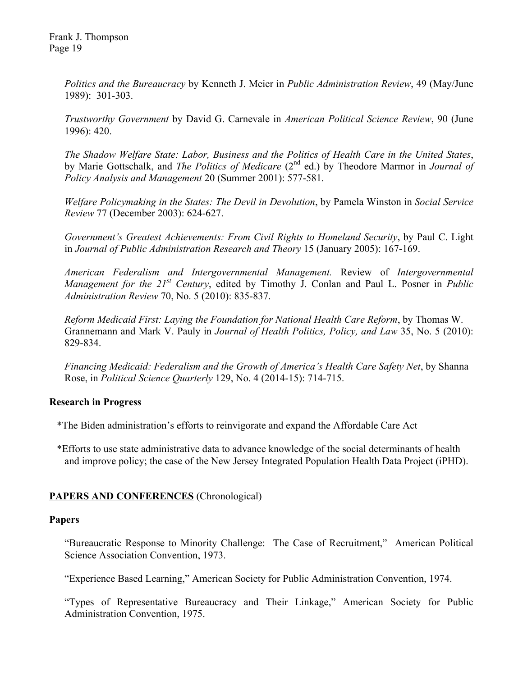Frank J. Thompson Page 19

> *Politics and the Bureaucracy* by Kenneth J. Meier in *Public Administration Review*, 49 (May/June 1989): 301-303.

> *Trustworthy Government* by David G. Carnevale in *American Political Science Review*, 90 (June 1996): 420.

> *The Shadow Welfare State: Labor, Business and the Politics of Health Care in the United States*, by Marie Gottschalk, and *The Politics of Medicare* (2nd ed.) by Theodore Marmor in *Journal of Policy Analysis and Management* 20 (Summer 2001): 577-581.

> *Welfare Policymaking in the States: The Devil in Devolution*, by Pamela Winston in *Social Service Review* 77 (December 2003): 624-627.

> *Government's Greatest Achievements: From Civil Rights to Homeland Security*, by Paul C. Light in *Journal of Public Administration Research and Theory* 15 (January 2005): 167-169.

> *American Federalism and Intergovernmental Management.* Review of *Intergovernmental Management for the 21st Century*, edited by Timothy J. Conlan and Paul L. Posner in *Public Administration Review* 70, No. 5 (2010): 835-837.

> *Reform Medicaid First: Laying the Foundation for National Health Care Reform*, by Thomas W. Grannemann and Mark V. Pauly in *Journal of Health Politics, Policy, and Law* 35, No. 5 (2010): 829-834.

> *Financing Medicaid: Federalism and the Growth of America's Health Care Safety Net*, by Shanna Rose, in *Political Science Quarterly* 129, No. 4 (2014-15): 714-715.

## **Research in Progress**

\*The Biden administration's efforts to reinvigorate and expand the Affordable Care Act

 \*Efforts to use state administrative data to advance knowledge of the social determinants of health and improve policy; the case of the New Jersey Integrated Population Health Data Project (iPHD).

## **PAPERS AND CONFERENCES** (Chronological)

### **Papers**

"Bureaucratic Response to Minority Challenge: The Case of Recruitment," American Political Science Association Convention, 1973.

"Experience Based Learning," American Society for Public Administration Convention, 1974.

"Types of Representative Bureaucracy and Their Linkage," American Society for Public Administration Convention, 1975.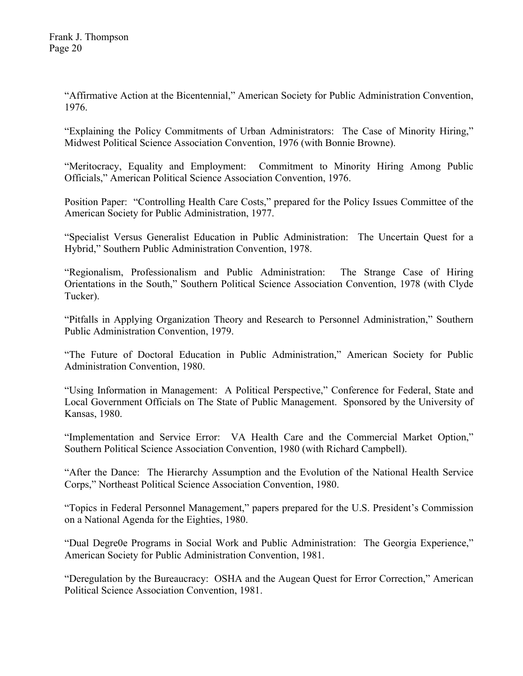"Affirmative Action at the Bicentennial," American Society for Public Administration Convention, 1976.

"Explaining the Policy Commitments of Urban Administrators: The Case of Minority Hiring," Midwest Political Science Association Convention, 1976 (with Bonnie Browne).

"Meritocracy, Equality and Employment: Commitment to Minority Hiring Among Public Officials," American Political Science Association Convention, 1976.

Position Paper: "Controlling Health Care Costs," prepared for the Policy Issues Committee of the American Society for Public Administration, 1977.

"Specialist Versus Generalist Education in Public Administration: The Uncertain Quest for a Hybrid," Southern Public Administration Convention, 1978.

"Regionalism, Professionalism and Public Administration: The Strange Case of Hiring Orientations in the South," Southern Political Science Association Convention, 1978 (with Clyde Tucker).

"Pitfalls in Applying Organization Theory and Research to Personnel Administration," Southern Public Administration Convention, 1979.

"The Future of Doctoral Education in Public Administration," American Society for Public Administration Convention, 1980.

"Using Information in Management: A Political Perspective," Conference for Federal, State and Local Government Officials on The State of Public Management. Sponsored by the University of Kansas, 1980.

"Implementation and Service Error: VA Health Care and the Commercial Market Option," Southern Political Science Association Convention, 1980 (with Richard Campbell).

"After the Dance: The Hierarchy Assumption and the Evolution of the National Health Service Corps," Northeast Political Science Association Convention, 1980.

"Topics in Federal Personnel Management," papers prepared for the U.S. President's Commission on a National Agenda for the Eighties, 1980.

"Dual Degre0e Programs in Social Work and Public Administration: The Georgia Experience," American Society for Public Administration Convention, 1981.

"Deregulation by the Bureaucracy: OSHA and the Augean Quest for Error Correction," American Political Science Association Convention, 1981.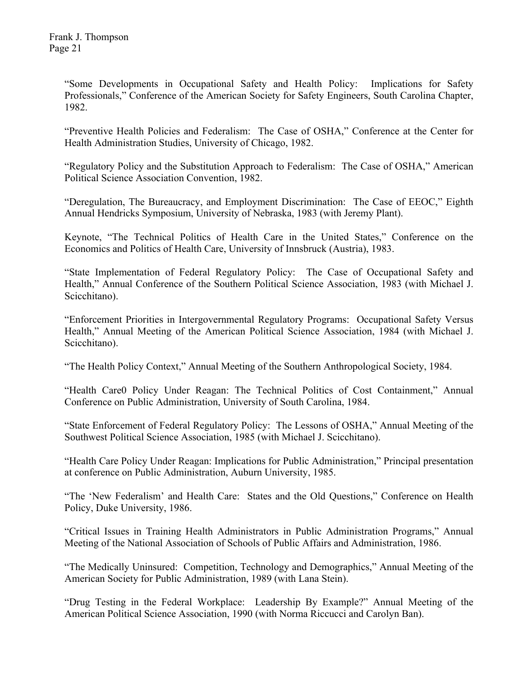"Some Developments in Occupational Safety and Health Policy: Implications for Safety Professionals," Conference of the American Society for Safety Engineers, South Carolina Chapter, 1982.

"Preventive Health Policies and Federalism: The Case of OSHA," Conference at the Center for Health Administration Studies, University of Chicago, 1982.

"Regulatory Policy and the Substitution Approach to Federalism: The Case of OSHA," American Political Science Association Convention, 1982.

"Deregulation, The Bureaucracy, and Employment Discrimination: The Case of EEOC," Eighth Annual Hendricks Symposium, University of Nebraska, 1983 (with Jeremy Plant).

Keynote, "The Technical Politics of Health Care in the United States," Conference on the Economics and Politics of Health Care, University of Innsbruck (Austria), 1983.

"State Implementation of Federal Regulatory Policy: The Case of Occupational Safety and Health," Annual Conference of the Southern Political Science Association, 1983 (with Michael J. Scicchitano).

"Enforcement Priorities in Intergovernmental Regulatory Programs: Occupational Safety Versus Health," Annual Meeting of the American Political Science Association, 1984 (with Michael J. Scicchitano).

"The Health Policy Context," Annual Meeting of the Southern Anthropological Society, 1984.

"Health Care0 Policy Under Reagan: The Technical Politics of Cost Containment," Annual Conference on Public Administration, University of South Carolina, 1984.

"State Enforcement of Federal Regulatory Policy: The Lessons of OSHA," Annual Meeting of the Southwest Political Science Association, 1985 (with Michael J. Scicchitano).

"Health Care Policy Under Reagan: Implications for Public Administration," Principal presentation at conference on Public Administration, Auburn University, 1985.

"The 'New Federalism' and Health Care: States and the Old Questions," Conference on Health Policy, Duke University, 1986.

"Critical Issues in Training Health Administrators in Public Administration Programs," Annual Meeting of the National Association of Schools of Public Affairs and Administration, 1986.

"The Medically Uninsured: Competition, Technology and Demographics," Annual Meeting of the American Society for Public Administration, 1989 (with Lana Stein).

"Drug Testing in the Federal Workplace: Leadership By Example?" Annual Meeting of the American Political Science Association, 1990 (with Norma Riccucci and Carolyn Ban).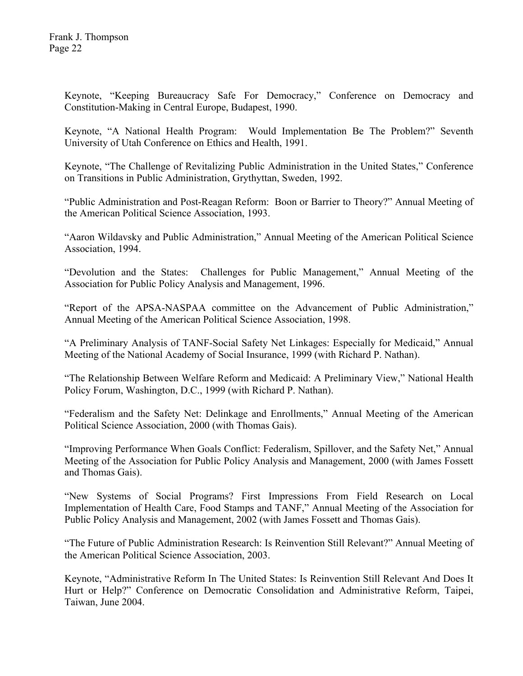Keynote, "Keeping Bureaucracy Safe For Democracy," Conference on Democracy and Constitution-Making in Central Europe, Budapest, 1990.

Keynote, "A National Health Program: Would Implementation Be The Problem?" Seventh University of Utah Conference on Ethics and Health, 1991.

Keynote, "The Challenge of Revitalizing Public Administration in the United States," Conference on Transitions in Public Administration, Grythyttan, Sweden, 1992.

"Public Administration and Post-Reagan Reform: Boon or Barrier to Theory?" Annual Meeting of the American Political Science Association, 1993.

"Aaron Wildavsky and Public Administration," Annual Meeting of the American Political Science Association, 1994.

"Devolution and the States: Challenges for Public Management," Annual Meeting of the Association for Public Policy Analysis and Management, 1996.

"Report of the APSA-NASPAA committee on the Advancement of Public Administration," Annual Meeting of the American Political Science Association, 1998.

"A Preliminary Analysis of TANF-Social Safety Net Linkages: Especially for Medicaid," Annual Meeting of the National Academy of Social Insurance, 1999 (with Richard P. Nathan).

"The Relationship Between Welfare Reform and Medicaid: A Preliminary View," National Health Policy Forum, Washington, D.C., 1999 (with Richard P. Nathan).

"Federalism and the Safety Net: Delinkage and Enrollments," Annual Meeting of the American Political Science Association, 2000 (with Thomas Gais).

"Improving Performance When Goals Conflict: Federalism, Spillover, and the Safety Net," Annual Meeting of the Association for Public Policy Analysis and Management, 2000 (with James Fossett and Thomas Gais).

"New Systems of Social Programs? First Impressions From Field Research on Local Implementation of Health Care, Food Stamps and TANF," Annual Meeting of the Association for Public Policy Analysis and Management, 2002 (with James Fossett and Thomas Gais).

"The Future of Public Administration Research: Is Reinvention Still Relevant?" Annual Meeting of the American Political Science Association, 2003.

Keynote, "Administrative Reform In The United States: Is Reinvention Still Relevant And Does It Hurt or Help?" Conference on Democratic Consolidation and Administrative Reform, Taipei, Taiwan, June 2004.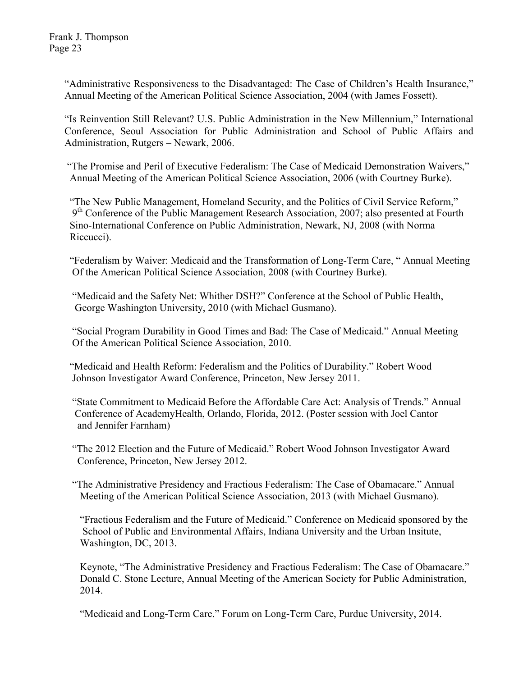"Administrative Responsiveness to the Disadvantaged: The Case of Children's Health Insurance," Annual Meeting of the American Political Science Association, 2004 (with James Fossett).

"Is Reinvention Still Relevant? U.S. Public Administration in the New Millennium," International Conference, Seoul Association for Public Administration and School of Public Affairs and Administration, Rutgers – Newark, 2006.

 "The Promise and Peril of Executive Federalism: The Case of Medicaid Demonstration Waivers," Annual Meeting of the American Political Science Association, 2006 (with Courtney Burke).

 "The New Public Management, Homeland Security, and the Politics of Civil Service Reform,"  $9<sup>th</sup>$  Conference of the Public Management Research Association, 2007; also presented at Fourth Sino-International Conference on Public Administration, Newark, NJ, 2008 (with Norma Riccucci).

 "Federalism by Waiver: Medicaid and the Transformation of Long-Term Care, " Annual Meeting Of the American Political Science Association, 2008 (with Courtney Burke).

 "Medicaid and the Safety Net: Whither DSH?" Conference at the School of Public Health, George Washington University, 2010 (with Michael Gusmano).

 "Social Program Durability in Good Times and Bad: The Case of Medicaid." Annual Meeting Of the American Political Science Association, 2010.

 "Medicaid and Health Reform: Federalism and the Politics of Durability." Robert Wood Johnson Investigator Award Conference, Princeton, New Jersey 2011.

 "State Commitment to Medicaid Before the Affordable Care Act: Analysis of Trends." Annual Conference of AcademyHealth, Orlando, Florida, 2012. (Poster session with Joel Cantor and Jennifer Farnham)

 "The 2012 Election and the Future of Medicaid." Robert Wood Johnson Investigator Award Conference, Princeton, New Jersey 2012.

 "The Administrative Presidency and Fractious Federalism: The Case of Obamacare." Annual Meeting of the American Political Science Association, 2013 (with Michael Gusmano).

"Fractious Federalism and the Future of Medicaid." Conference on Medicaid sponsored by the School of Public and Environmental Affairs, Indiana University and the Urban Insitute, Washington, DC, 2013.

Keynote, "The Administrative Presidency and Fractious Federalism: The Case of Obamacare." Donald C. Stone Lecture, Annual Meeting of the American Society for Public Administration, 2014.

"Medicaid and Long-Term Care." Forum on Long-Term Care, Purdue University, 2014.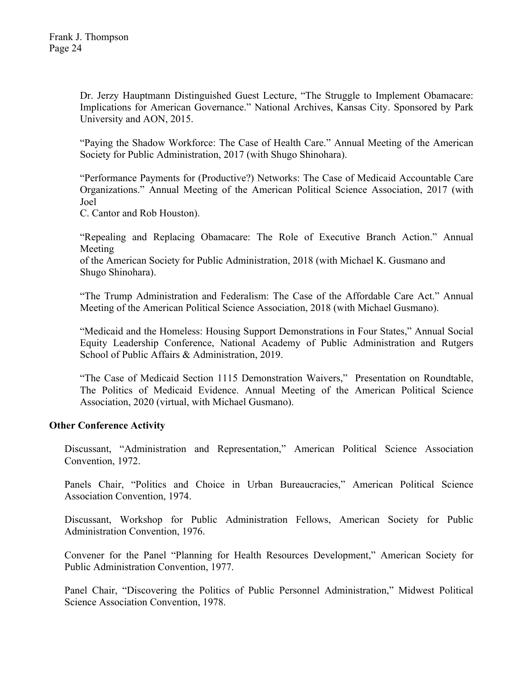Dr. Jerzy Hauptmann Distinguished Guest Lecture, "The Struggle to Implement Obamacare: Implications for American Governance." National Archives, Kansas City. Sponsored by Park University and AON, 2015.

"Paying the Shadow Workforce: The Case of Health Care." Annual Meeting of the American Society for Public Administration, 2017 (with Shugo Shinohara).

"Performance Payments for (Productive?) Networks: The Case of Medicaid Accountable Care Organizations." Annual Meeting of the American Political Science Association, 2017 (with Joel

C. Cantor and Rob Houston).

"Repealing and Replacing Obamacare: The Role of Executive Branch Action." Annual Meeting

of the American Society for Public Administration, 2018 (with Michael K. Gusmano and Shugo Shinohara).

"The Trump Administration and Federalism: The Case of the Affordable Care Act." Annual Meeting of the American Political Science Association, 2018 (with Michael Gusmano).

"Medicaid and the Homeless: Housing Support Demonstrations in Four States," Annual Social Equity Leadership Conference, National Academy of Public Administration and Rutgers School of Public Affairs & Administration, 2019.

"The Case of Medicaid Section 1115 Demonstration Waivers," Presentation on Roundtable, The Politics of Medicaid Evidence. Annual Meeting of the American Political Science Association, 2020 (virtual, with Michael Gusmano).

### **Other Conference Activity**

Discussant, "Administration and Representation," American Political Science Association Convention, 1972.

Panels Chair, "Politics and Choice in Urban Bureaucracies," American Political Science Association Convention, 1974.

Discussant, Workshop for Public Administration Fellows, American Society for Public Administration Convention, 1976.

Convener for the Panel "Planning for Health Resources Development," American Society for Public Administration Convention, 1977.

Panel Chair, "Discovering the Politics of Public Personnel Administration," Midwest Political Science Association Convention, 1978.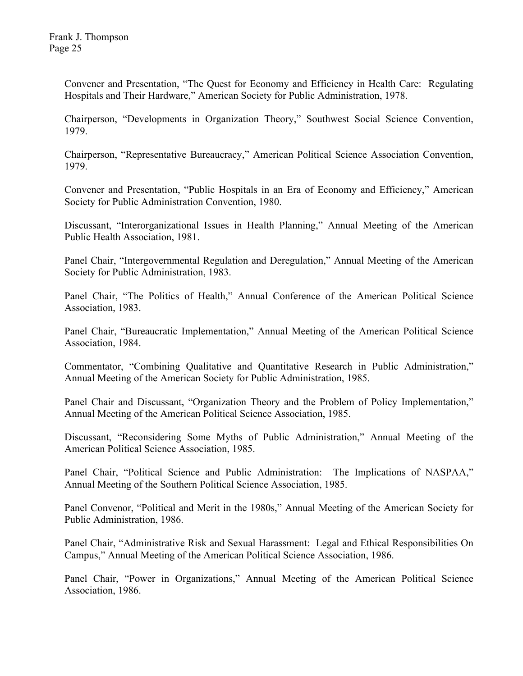Convener and Presentation, "The Quest for Economy and Efficiency in Health Care: Regulating Hospitals and Their Hardware," American Society for Public Administration, 1978.

Chairperson, "Developments in Organization Theory," Southwest Social Science Convention, 1979.

Chairperson, "Representative Bureaucracy," American Political Science Association Convention, 1979.

Convener and Presentation, "Public Hospitals in an Era of Economy and Efficiency," American Society for Public Administration Convention, 1980.

Discussant, "Interorganizational Issues in Health Planning," Annual Meeting of the American Public Health Association, 1981.

Panel Chair, "Intergovernmental Regulation and Deregulation," Annual Meeting of the American Society for Public Administration, 1983.

Panel Chair, "The Politics of Health," Annual Conference of the American Political Science Association, 1983.

Panel Chair, "Bureaucratic Implementation," Annual Meeting of the American Political Science Association, 1984.

Commentator, "Combining Qualitative and Quantitative Research in Public Administration," Annual Meeting of the American Society for Public Administration, 1985.

Panel Chair and Discussant, "Organization Theory and the Problem of Policy Implementation," Annual Meeting of the American Political Science Association, 1985.

Discussant, "Reconsidering Some Myths of Public Administration," Annual Meeting of the American Political Science Association, 1985.

Panel Chair, "Political Science and Public Administration: The Implications of NASPAA," Annual Meeting of the Southern Political Science Association, 1985.

Panel Convenor, "Political and Merit in the 1980s," Annual Meeting of the American Society for Public Administration, 1986.

Panel Chair, "Administrative Risk and Sexual Harassment: Legal and Ethical Responsibilities On Campus," Annual Meeting of the American Political Science Association, 1986.

Panel Chair, "Power in Organizations," Annual Meeting of the American Political Science Association, 1986.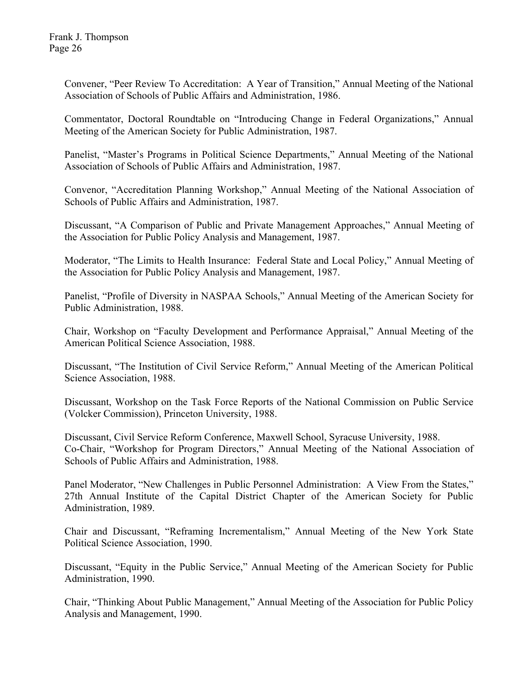Convener, "Peer Review To Accreditation: A Year of Transition," Annual Meeting of the National Association of Schools of Public Affairs and Administration, 1986.

Commentator, Doctoral Roundtable on "Introducing Change in Federal Organizations," Annual Meeting of the American Society for Public Administration, 1987.

Panelist, "Master's Programs in Political Science Departments," Annual Meeting of the National Association of Schools of Public Affairs and Administration, 1987.

Convenor, "Accreditation Planning Workshop," Annual Meeting of the National Association of Schools of Public Affairs and Administration, 1987.

Discussant, "A Comparison of Public and Private Management Approaches," Annual Meeting of the Association for Public Policy Analysis and Management, 1987.

Moderator, "The Limits to Health Insurance: Federal State and Local Policy," Annual Meeting of the Association for Public Policy Analysis and Management, 1987.

Panelist, "Profile of Diversity in NASPAA Schools," Annual Meeting of the American Society for Public Administration, 1988.

Chair, Workshop on "Faculty Development and Performance Appraisal," Annual Meeting of the American Political Science Association, 1988.

Discussant, "The Institution of Civil Service Reform," Annual Meeting of the American Political Science Association, 1988.

Discussant, Workshop on the Task Force Reports of the National Commission on Public Service (Volcker Commission), Princeton University, 1988.

Discussant, Civil Service Reform Conference, Maxwell School, Syracuse University, 1988. Co-Chair, "Workshop for Program Directors," Annual Meeting of the National Association of Schools of Public Affairs and Administration, 1988.

Panel Moderator, "New Challenges in Public Personnel Administration: A View From the States," 27th Annual Institute of the Capital District Chapter of the American Society for Public Administration, 1989.

Chair and Discussant, "Reframing Incrementalism," Annual Meeting of the New York State Political Science Association, 1990.

Discussant, "Equity in the Public Service," Annual Meeting of the American Society for Public Administration, 1990.

Chair, "Thinking About Public Management," Annual Meeting of the Association for Public Policy Analysis and Management, 1990.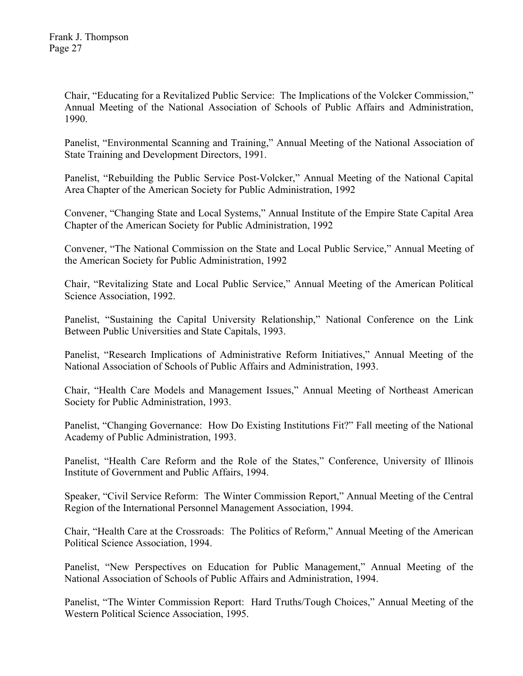Chair, "Educating for a Revitalized Public Service: The Implications of the Volcker Commission," Annual Meeting of the National Association of Schools of Public Affairs and Administration, 1990.

Panelist, "Environmental Scanning and Training," Annual Meeting of the National Association of State Training and Development Directors, 1991.

Panelist, "Rebuilding the Public Service Post-Volcker," Annual Meeting of the National Capital Area Chapter of the American Society for Public Administration, 1992

Convener, "Changing State and Local Systems," Annual Institute of the Empire State Capital Area Chapter of the American Society for Public Administration, 1992

Convener, "The National Commission on the State and Local Public Service," Annual Meeting of the American Society for Public Administration, 1992

Chair, "Revitalizing State and Local Public Service," Annual Meeting of the American Political Science Association, 1992.

Panelist, "Sustaining the Capital University Relationship," National Conference on the Link Between Public Universities and State Capitals, 1993.

Panelist, "Research Implications of Administrative Reform Initiatives," Annual Meeting of the National Association of Schools of Public Affairs and Administration, 1993.

Chair, "Health Care Models and Management Issues," Annual Meeting of Northeast American Society for Public Administration, 1993.

Panelist, "Changing Governance: How Do Existing Institutions Fit?" Fall meeting of the National Academy of Public Administration, 1993.

Panelist, "Health Care Reform and the Role of the States," Conference, University of Illinois Institute of Government and Public Affairs, 1994.

Speaker, "Civil Service Reform: The Winter Commission Report," Annual Meeting of the Central Region of the International Personnel Management Association, 1994.

Chair, "Health Care at the Crossroads: The Politics of Reform," Annual Meeting of the American Political Science Association, 1994.

Panelist, "New Perspectives on Education for Public Management," Annual Meeting of the National Association of Schools of Public Affairs and Administration, 1994.

Panelist, "The Winter Commission Report: Hard Truths/Tough Choices," Annual Meeting of the Western Political Science Association, 1995.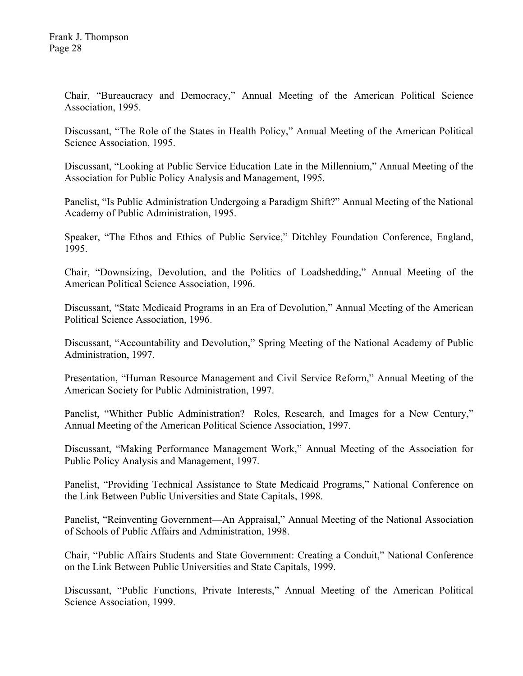Chair, "Bureaucracy and Democracy," Annual Meeting of the American Political Science Association, 1995.

Discussant, "The Role of the States in Health Policy," Annual Meeting of the American Political Science Association, 1995.

Discussant, "Looking at Public Service Education Late in the Millennium," Annual Meeting of the Association for Public Policy Analysis and Management, 1995.

Panelist, "Is Public Administration Undergoing a Paradigm Shift?" Annual Meeting of the National Academy of Public Administration, 1995.

Speaker, "The Ethos and Ethics of Public Service," Ditchley Foundation Conference, England, 1995.

Chair, "Downsizing, Devolution, and the Politics of Loadshedding," Annual Meeting of the American Political Science Association, 1996.

Discussant, "State Medicaid Programs in an Era of Devolution," Annual Meeting of the American Political Science Association, 1996.

Discussant, "Accountability and Devolution," Spring Meeting of the National Academy of Public Administration, 1997.

Presentation, "Human Resource Management and Civil Service Reform," Annual Meeting of the American Society for Public Administration, 1997.

Panelist, "Whither Public Administration? Roles, Research, and Images for a New Century," Annual Meeting of the American Political Science Association, 1997.

Discussant, "Making Performance Management Work," Annual Meeting of the Association for Public Policy Analysis and Management, 1997.

Panelist, "Providing Technical Assistance to State Medicaid Programs," National Conference on the Link Between Public Universities and State Capitals, 1998.

Panelist, "Reinventing Government—An Appraisal," Annual Meeting of the National Association of Schools of Public Affairs and Administration, 1998.

Chair, "Public Affairs Students and State Government: Creating a Conduit," National Conference on the Link Between Public Universities and State Capitals, 1999.

Discussant, "Public Functions, Private Interests," Annual Meeting of the American Political Science Association, 1999.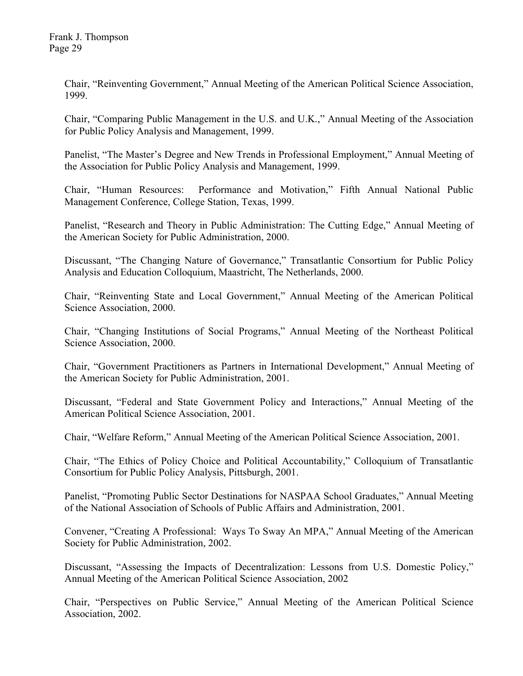Chair, "Reinventing Government," Annual Meeting of the American Political Science Association, 1999.

Chair, "Comparing Public Management in the U.S. and U.K.," Annual Meeting of the Association for Public Policy Analysis and Management, 1999.

Panelist, "The Master's Degree and New Trends in Professional Employment," Annual Meeting of the Association for Public Policy Analysis and Management, 1999.

Chair, "Human Resources: Performance and Motivation," Fifth Annual National Public Management Conference, College Station, Texas, 1999.

Panelist, "Research and Theory in Public Administration: The Cutting Edge," Annual Meeting of the American Society for Public Administration, 2000.

Discussant, "The Changing Nature of Governance," Transatlantic Consortium for Public Policy Analysis and Education Colloquium, Maastricht, The Netherlands, 2000.

Chair, "Reinventing State and Local Government," Annual Meeting of the American Political Science Association, 2000.

Chair, "Changing Institutions of Social Programs," Annual Meeting of the Northeast Political Science Association, 2000.

Chair, "Government Practitioners as Partners in International Development," Annual Meeting of the American Society for Public Administration, 2001.

Discussant, "Federal and State Government Policy and Interactions," Annual Meeting of the American Political Science Association, 2001.

Chair, "Welfare Reform," Annual Meeting of the American Political Science Association, 2001.

Chair, "The Ethics of Policy Choice and Political Accountability," Colloquium of Transatlantic Consortium for Public Policy Analysis, Pittsburgh, 2001.

Panelist, "Promoting Public Sector Destinations for NASPAA School Graduates," Annual Meeting of the National Association of Schools of Public Affairs and Administration, 2001.

Convener, "Creating A Professional: Ways To Sway An MPA," Annual Meeting of the American Society for Public Administration, 2002.

Discussant, "Assessing the Impacts of Decentralization: Lessons from U.S. Domestic Policy," Annual Meeting of the American Political Science Association, 2002

Chair, "Perspectives on Public Service," Annual Meeting of the American Political Science Association, 2002.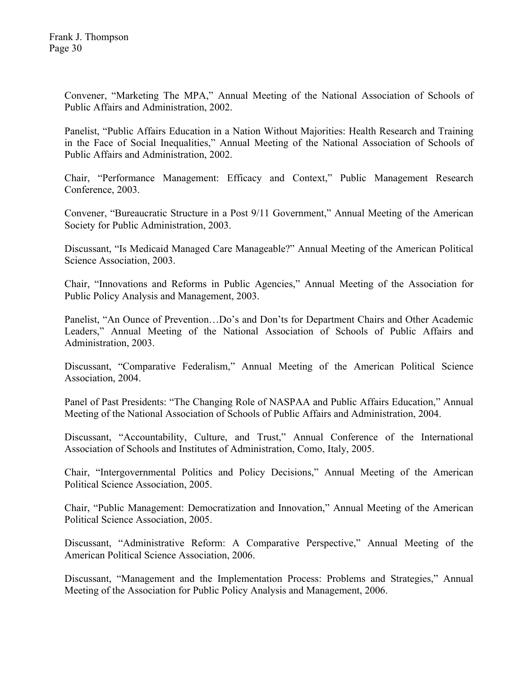Convener, "Marketing The MPA," Annual Meeting of the National Association of Schools of Public Affairs and Administration, 2002.

Panelist, "Public Affairs Education in a Nation Without Majorities: Health Research and Training in the Face of Social Inequalities," Annual Meeting of the National Association of Schools of Public Affairs and Administration, 2002.

Chair, "Performance Management: Efficacy and Context," Public Management Research Conference, 2003.

Convener, "Bureaucratic Structure in a Post 9/11 Government," Annual Meeting of the American Society for Public Administration, 2003.

Discussant, "Is Medicaid Managed Care Manageable?" Annual Meeting of the American Political Science Association, 2003.

Chair, "Innovations and Reforms in Public Agencies," Annual Meeting of the Association for Public Policy Analysis and Management, 2003.

Panelist, "An Ounce of Prevention…Do's and Don'ts for Department Chairs and Other Academic Leaders," Annual Meeting of the National Association of Schools of Public Affairs and Administration, 2003.

Discussant, "Comparative Federalism," Annual Meeting of the American Political Science Association, 2004.

Panel of Past Presidents: "The Changing Role of NASPAA and Public Affairs Education," Annual Meeting of the National Association of Schools of Public Affairs and Administration, 2004.

Discussant, "Accountability, Culture, and Trust," Annual Conference of the International Association of Schools and Institutes of Administration, Como, Italy, 2005.

Chair, "Intergovernmental Politics and Policy Decisions," Annual Meeting of the American Political Science Association, 2005.

Chair, "Public Management: Democratization and Innovation," Annual Meeting of the American Political Science Association, 2005.

Discussant, "Administrative Reform: A Comparative Perspective," Annual Meeting of the American Political Science Association, 2006.

Discussant, "Management and the Implementation Process: Problems and Strategies," Annual Meeting of the Association for Public Policy Analysis and Management, 2006.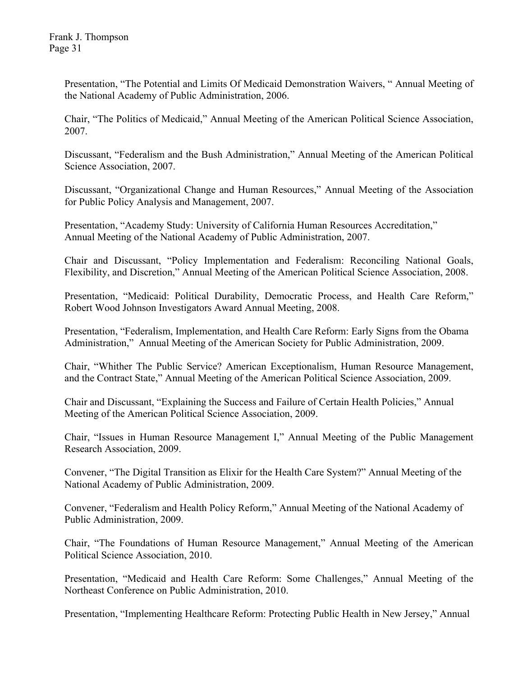Presentation, "The Potential and Limits Of Medicaid Demonstration Waivers, " Annual Meeting of the National Academy of Public Administration, 2006.

Chair, "The Politics of Medicaid," Annual Meeting of the American Political Science Association, 2007.

Discussant, "Federalism and the Bush Administration," Annual Meeting of the American Political Science Association, 2007.

Discussant, "Organizational Change and Human Resources," Annual Meeting of the Association for Public Policy Analysis and Management, 2007.

Presentation, "Academy Study: University of California Human Resources Accreditation," Annual Meeting of the National Academy of Public Administration, 2007.

Chair and Discussant, "Policy Implementation and Federalism: Reconciling National Goals, Flexibility, and Discretion," Annual Meeting of the American Political Science Association, 2008.

Presentation, "Medicaid: Political Durability, Democratic Process, and Health Care Reform," Robert Wood Johnson Investigators Award Annual Meeting, 2008.

Presentation, "Federalism, Implementation, and Health Care Reform: Early Signs from the Obama Administration," Annual Meeting of the American Society for Public Administration, 2009.

Chair, "Whither The Public Service? American Exceptionalism, Human Resource Management, and the Contract State," Annual Meeting of the American Political Science Association, 2009.

Chair and Discussant, "Explaining the Success and Failure of Certain Health Policies," Annual Meeting of the American Political Science Association, 2009.

Chair, "Issues in Human Resource Management I," Annual Meeting of the Public Management Research Association, 2009.

Convener, "The Digital Transition as Elixir for the Health Care System?" Annual Meeting of the National Academy of Public Administration, 2009.

Convener, "Federalism and Health Policy Reform," Annual Meeting of the National Academy of Public Administration, 2009.

Chair, "The Foundations of Human Resource Management," Annual Meeting of the American Political Science Association, 2010.

Presentation, "Medicaid and Health Care Reform: Some Challenges," Annual Meeting of the Northeast Conference on Public Administration, 2010.

Presentation, "Implementing Healthcare Reform: Protecting Public Health in New Jersey," Annual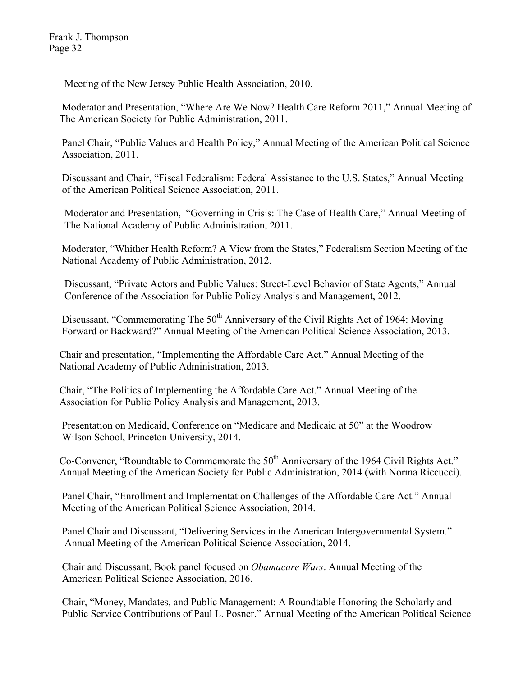Meeting of the New Jersey Public Health Association, 2010.

 Moderator and Presentation, "Where Are We Now? Health Care Reform 2011," Annual Meeting of The American Society for Public Administration, 2011.

 Panel Chair, "Public Values and Health Policy," Annual Meeting of the American Political Science Association, 2011.

 Discussant and Chair, "Fiscal Federalism: Federal Assistance to the U.S. States," Annual Meeting of the American Political Science Association, 2011.

 Moderator and Presentation, "Governing in Crisis: The Case of Health Care," Annual Meeting of The National Academy of Public Administration, 2011.

 Moderator, "Whither Health Reform? A View from the States," Federalism Section Meeting of the National Academy of Public Administration, 2012.

 Discussant, "Private Actors and Public Values: Street-Level Behavior of State Agents," Annual Conference of the Association for Public Policy Analysis and Management, 2012.

Discussant, "Commemorating The  $50<sup>th</sup>$  Anniversary of the Civil Rights Act of 1964: Moving Forward or Backward?" Annual Meeting of the American Political Science Association, 2013.

 Chair and presentation, "Implementing the Affordable Care Act." Annual Meeting of the National Academy of Public Administration, 2013.

 Chair, "The Politics of Implementing the Affordable Care Act." Annual Meeting of the Association for Public Policy Analysis and Management, 2013.

 Presentation on Medicaid, Conference on "Medicare and Medicaid at 50" at the Woodrow Wilson School, Princeton University, 2014.

Co-Convener, "Roundtable to Commemorate the 50<sup>th</sup> Anniversary of the 1964 Civil Rights Act." Annual Meeting of the American Society for Public Administration, 2014 (with Norma Riccucci).

 Panel Chair, "Enrollment and Implementation Challenges of the Affordable Care Act." Annual Meeting of the American Political Science Association, 2014.

 Panel Chair and Discussant, "Delivering Services in the American Intergovernmental System." Annual Meeting of the American Political Science Association, 2014.

 Chair and Discussant, Book panel focused on *Obamacare Wars*. Annual Meeting of the American Political Science Association, 2016.

 Chair, "Money, Mandates, and Public Management: A Roundtable Honoring the Scholarly and Public Service Contributions of Paul L. Posner." Annual Meeting of the American Political Science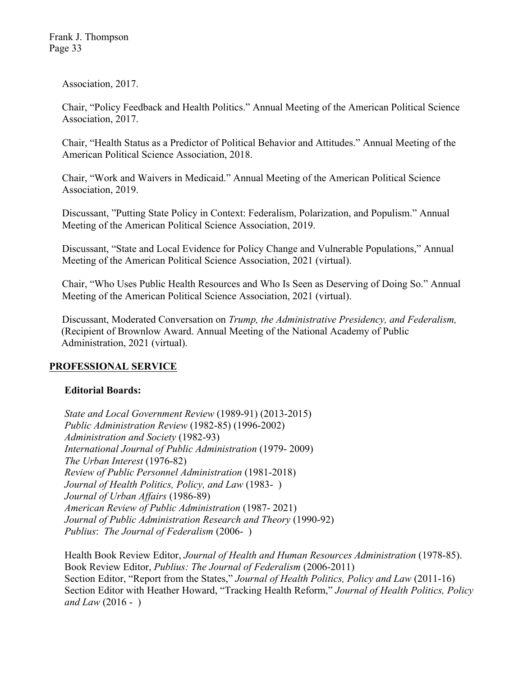Association, 2017.

 Chair, "Policy Feedback and Health Politics." Annual Meeting of the American Political Science Association, 2017.

Chair, "Health Status as a Predictor of Political Behavior and Attitudes." Annual Meeting of the American Political Science Association, 2018.

Chair, "Work and Waivers in Medicaid." Annual Meeting of the American Political Science Association, 2019.

Discussant, "Putting State Policy in Context: Federalism, Polarization, and Populism." Annual Meeting of the American Political Science Association, 2019.

Discussant, "State and Local Evidence for Policy Change and Vulnerable Populations," Annual Meeting of the American Political Science Association, 2021 (virtual).

Chair, "Who Uses Public Health Resources and Who Is Seen as Deserving of Doing So." Annual Meeting of the American Political Science Association, 2021 (virtual).

Discussant, Moderated Conversation on *Trump, the Administrative Presidency, and Federalism,* (Recipient of Brownlow Award. Annual Meeting of the National Academy of Public Administration, 2021 (virtual).

# **PROFESSIONAL SERVICE**

# **Editorial Boards:**

*State and Local Government Review* (1989-91) (2013-2015) *Public Administration Review* (1982-85) (1996-2002) *Administration and Society* (1982-93) *International Journal of Public Administration* (1979- 2009) *The Urban Interest* (1976-82) *Review of Public Personnel Administration* (1981-2018) *Journal of Health Politics, Policy, and Law* (1983- ) *Journal of Urban Affairs* (1986-89) *American Review of Public Administration* (1987- 2021) *Journal of Public Administration Research and Theory* (1990-92) *Publius*: *The Journal of Federalism* (2006- )

Health Book Review Editor, *Journal of Health and Human Resources Administration* (1978-85). Book Review Editor, *Publius: The Journal of Federalism* (2006-2011) Section Editor, "Report from the States," *Journal of Health Politics, Policy and Law* (2011-16) Section Editor with Heather Howard, "Tracking Health Reform," *Journal of Health Politics, Policy and Law* (2016 - )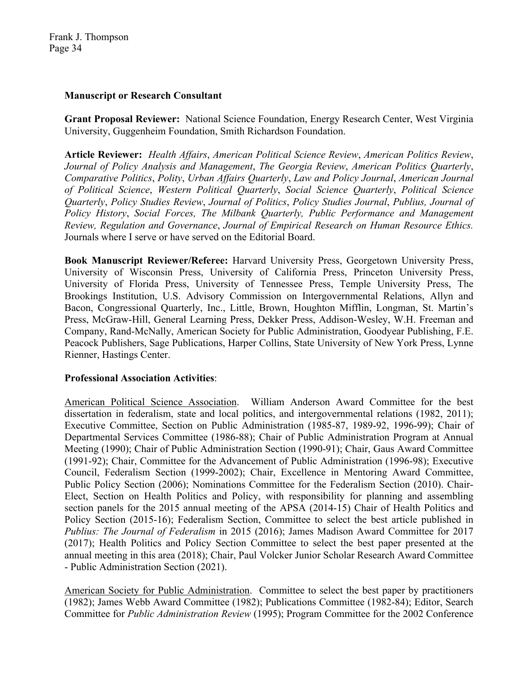### **Manuscript or Research Consultant**

**Grant Proposal Reviewer:** National Science Foundation, Energy Research Center, West Virginia University, Guggenheim Foundation, Smith Richardson Foundation.

**Article Reviewer:** *Health Affairs*, *American Political Science Review*, *American Politics Review*, *Journal of Policy Analysis and Management*, *The Georgia Review*, *American Politics Quarterly*, *Comparative Politics*, *Polity*, *Urban Affairs Quarterly*, *Law and Policy Journal*, *American Journal of Political Science*, *Western Political Quarterly*, *Social Science Quarterly*, *Political Science Quarterly*, *Policy Studies Review*, *Journal of Politics*, *Policy Studies Journal*, *Publius, Journal of Policy History*, *Social Forces, The Milbank Quarterly, Public Performance and Management Review, Regulation and Governance*, *Journal of Empirical Research on Human Resource Ethics.*  Journals where I serve or have served on the Editorial Board.

**Book Manuscript Reviewer/Referee:** Harvard University Press, Georgetown University Press, University of Wisconsin Press, University of California Press, Princeton University Press, University of Florida Press, University of Tennessee Press, Temple University Press, The Brookings Institution, U.S. Advisory Commission on Intergovernmental Relations, Allyn and Bacon, Congressional Quarterly, Inc., Little, Brown, Houghton Mifflin, Longman, St. Martin's Press, McGraw-Hill, General Learning Press, Dekker Press, Addison-Wesley, W.H. Freeman and Company, Rand-McNally, American Society for Public Administration, Goodyear Publishing, F.E. Peacock Publishers, Sage Publications, Harper Collins, State University of New York Press, Lynne Rienner, Hastings Center.

## **Professional Association Activities**:

American Political Science Association. William Anderson Award Committee for the best dissertation in federalism, state and local politics, and intergovernmental relations (1982, 2011); Executive Committee, Section on Public Administration (1985-87, 1989-92, 1996-99); Chair of Departmental Services Committee (1986-88); Chair of Public Administration Program at Annual Meeting (1990); Chair of Public Administration Section (1990-91); Chair, Gaus Award Committee (1991-92); Chair, Committee for the Advancement of Public Administration (1996-98); Executive Council, Federalism Section (1999-2002); Chair, Excellence in Mentoring Award Committee, Public Policy Section (2006); Nominations Committee for the Federalism Section (2010). Chair-Elect, Section on Health Politics and Policy, with responsibility for planning and assembling section panels for the 2015 annual meeting of the APSA (2014-15) Chair of Health Politics and Policy Section (2015-16); Federalism Section, Committee to select the best article published in *Publius: The Journal of Federalism* in 2015 (2016); James Madison Award Committee for 2017 (2017); Health Politics and Policy Section Committee to select the best paper presented at the annual meeting in this area (2018); Chair, Paul Volcker Junior Scholar Research Award Committee - Public Administration Section (2021).

American Society for Public Administration. Committee to select the best paper by practitioners (1982); James Webb Award Committee (1982); Publications Committee (1982-84); Editor, Search Committee for *Public Administration Review* (1995); Program Committee for the 2002 Conference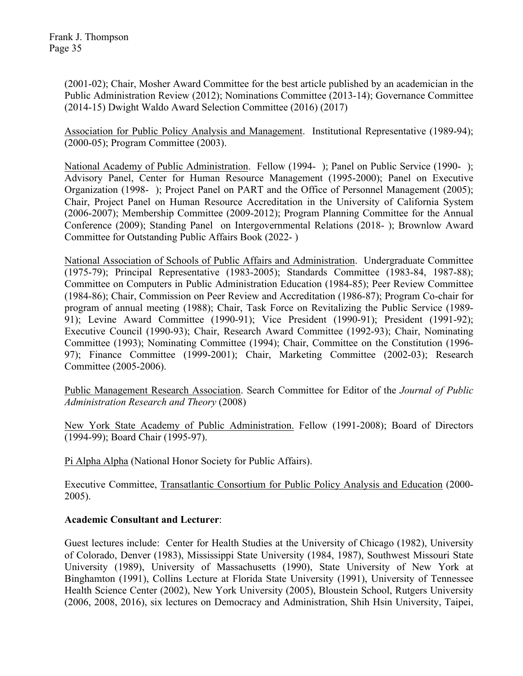(2001-02); Chair, Mosher Award Committee for the best article published by an academician in the Public Administration Review (2012); Nominations Committee (2013-14); Governance Committee (2014-15) Dwight Waldo Award Selection Committee (2016) (2017)

Association for Public Policy Analysis and Management. Institutional Representative (1989-94); (2000-05); Program Committee (2003).

National Academy of Public Administration. Fellow (1994- ); Panel on Public Service (1990- ); Advisory Panel, Center for Human Resource Management (1995-2000); Panel on Executive Organization (1998- ); Project Panel on PART and the Office of Personnel Management (2005); Chair, Project Panel on Human Resource Accreditation in the University of California System (2006-2007); Membership Committee (2009-2012); Program Planning Committee for the Annual Conference (2009); Standing Panel on Intergovernmental Relations (2018- ); Brownlow Award Committee for Outstanding Public Affairs Book (2022- )

National Association of Schools of Public Affairs and Administration. Undergraduate Committee (1975-79); Principal Representative (1983-2005); Standards Committee (1983-84, 1987-88); Committee on Computers in Public Administration Education (1984-85); Peer Review Committee (1984-86); Chair, Commission on Peer Review and Accreditation (1986-87); Program Co-chair for program of annual meeting (1988); Chair, Task Force on Revitalizing the Public Service (1989- 91); Levine Award Committee (1990-91); Vice President (1990-91); President (1991-92); Executive Council (1990-93); Chair, Research Award Committee (1992-93); Chair, Nominating Committee (1993); Nominating Committee (1994); Chair, Committee on the Constitution (1996- 97); Finance Committee (1999-2001); Chair, Marketing Committee (2002-03); Research Committee (2005-2006).

Public Management Research Association. Search Committee for Editor of the *Journal of Public Administration Research and Theory* (2008)

New York State Academy of Public Administration. Fellow (1991-2008); Board of Directors (1994-99); Board Chair (1995-97).

Pi Alpha Alpha (National Honor Society for Public Affairs).

Executive Committee, Transatlantic Consortium for Public Policy Analysis and Education (2000- 2005).

# **Academic Consultant and Lecturer**:

Guest lectures include: Center for Health Studies at the University of Chicago (1982), University of Colorado, Denver (1983), Mississippi State University (1984, 1987), Southwest Missouri State University (1989), University of Massachusetts (1990), State University of New York at Binghamton (1991), Collins Lecture at Florida State University (1991), University of Tennessee Health Science Center (2002), New York University (2005), Bloustein School, Rutgers University (2006, 2008, 2016), six lectures on Democracy and Administration, Shih Hsin University, Taipei,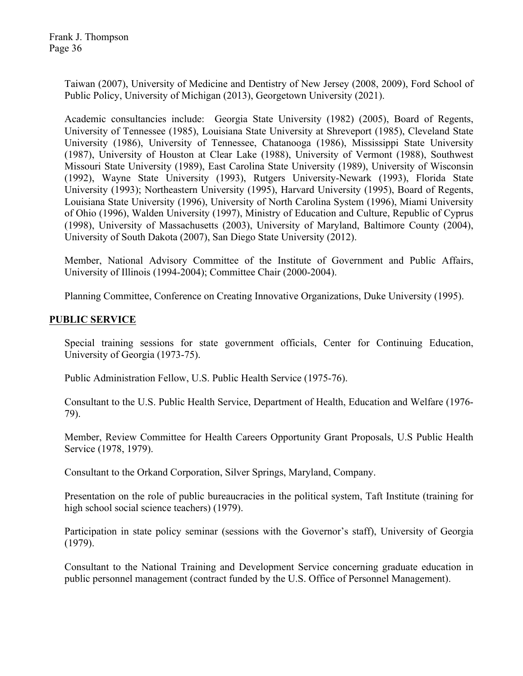Frank J. Thompson Page 36

> Taiwan (2007), University of Medicine and Dentistry of New Jersey (2008, 2009), Ford School of Public Policy, University of Michigan (2013), Georgetown University (2021).

> Academic consultancies include: Georgia State University (1982) (2005), Board of Regents, University of Tennessee (1985), Louisiana State University at Shreveport (1985), Cleveland State University (1986), University of Tennessee, Chatanooga (1986), Mississippi State University (1987), University of Houston at Clear Lake (1988), University of Vermont (1988), Southwest Missouri State University (1989), East Carolina State University (1989), University of Wisconsin (1992), Wayne State University (1993), Rutgers University-Newark (1993), Florida State University (1993); Northeastern University (1995), Harvard University (1995), Board of Regents, Louisiana State University (1996), University of North Carolina System (1996), Miami University of Ohio (1996), Walden University (1997), Ministry of Education and Culture, Republic of Cyprus (1998), University of Massachusetts (2003), University of Maryland, Baltimore County (2004), University of South Dakota (2007), San Diego State University (2012).

> Member, National Advisory Committee of the Institute of Government and Public Affairs, University of Illinois (1994-2004); Committee Chair (2000-2004).

Planning Committee, Conference on Creating Innovative Organizations, Duke University (1995).

### **PUBLIC SERVICE**

Special training sessions for state government officials, Center for Continuing Education, University of Georgia (1973-75).

Public Administration Fellow, U.S. Public Health Service (1975-76).

Consultant to the U.S. Public Health Service, Department of Health, Education and Welfare (1976- 79).

Member, Review Committee for Health Careers Opportunity Grant Proposals, U.S Public Health Service (1978, 1979).

Consultant to the Orkand Corporation, Silver Springs, Maryland, Company.

Presentation on the role of public bureaucracies in the political system, Taft Institute (training for high school social science teachers) (1979).

Participation in state policy seminar (sessions with the Governor's staff), University of Georgia (1979).

Consultant to the National Training and Development Service concerning graduate education in public personnel management (contract funded by the U.S. Office of Personnel Management).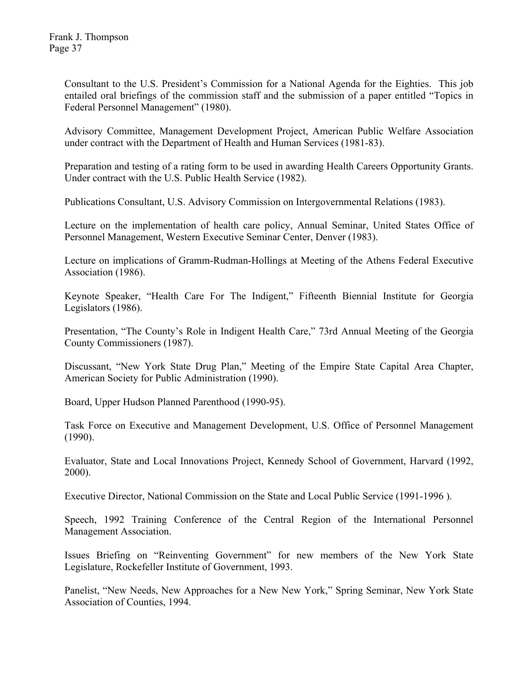Consultant to the U.S. President's Commission for a National Agenda for the Eighties. This job entailed oral briefings of the commission staff and the submission of a paper entitled "Topics in Federal Personnel Management" (1980).

Advisory Committee, Management Development Project, American Public Welfare Association under contract with the Department of Health and Human Services (1981-83).

Preparation and testing of a rating form to be used in awarding Health Careers Opportunity Grants. Under contract with the U.S. Public Health Service (1982).

Publications Consultant, U.S. Advisory Commission on Intergovernmental Relations (1983).

Lecture on the implementation of health care policy, Annual Seminar, United States Office of Personnel Management, Western Executive Seminar Center, Denver (1983).

Lecture on implications of Gramm-Rudman-Hollings at Meeting of the Athens Federal Executive Association (1986).

Keynote Speaker, "Health Care For The Indigent," Fifteenth Biennial Institute for Georgia Legislators (1986).

Presentation, "The County's Role in Indigent Health Care," 73rd Annual Meeting of the Georgia County Commissioners (1987).

Discussant, "New York State Drug Plan," Meeting of the Empire State Capital Area Chapter, American Society for Public Administration (1990).

Board, Upper Hudson Planned Parenthood (1990-95).

Task Force on Executive and Management Development, U.S. Office of Personnel Management (1990).

Evaluator, State and Local Innovations Project, Kennedy School of Government, Harvard (1992, 2000).

Executive Director, National Commission on the State and Local Public Service (1991-1996 ).

Speech, 1992 Training Conference of the Central Region of the International Personnel Management Association.

Issues Briefing on "Reinventing Government" for new members of the New York State Legislature, Rockefeller Institute of Government, 1993.

Panelist, "New Needs, New Approaches for a New New York," Spring Seminar, New York State Association of Counties, 1994.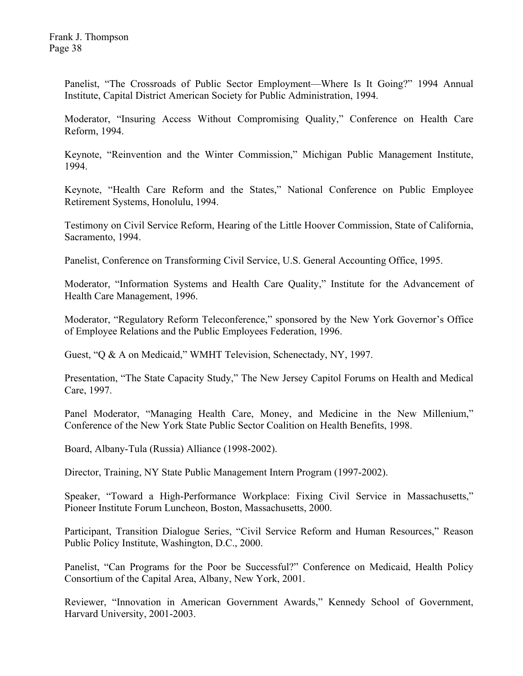Panelist, "The Crossroads of Public Sector Employment—Where Is It Going?" 1994 Annual Institute, Capital District American Society for Public Administration, 1994.

Moderator, "Insuring Access Without Compromising Quality," Conference on Health Care Reform, 1994.

Keynote, "Reinvention and the Winter Commission," Michigan Public Management Institute, 1994.

Keynote, "Health Care Reform and the States," National Conference on Public Employee Retirement Systems, Honolulu, 1994.

Testimony on Civil Service Reform, Hearing of the Little Hoover Commission, State of California, Sacramento, 1994.

Panelist, Conference on Transforming Civil Service, U.S. General Accounting Office, 1995.

Moderator, "Information Systems and Health Care Quality," Institute for the Advancement of Health Care Management, 1996.

Moderator, "Regulatory Reform Teleconference," sponsored by the New York Governor's Office of Employee Relations and the Public Employees Federation, 1996.

Guest, "Q & A on Medicaid," WMHT Television, Schenectady, NY, 1997.

Presentation, "The State Capacity Study," The New Jersey Capitol Forums on Health and Medical Care, 1997.

Panel Moderator, "Managing Health Care, Money, and Medicine in the New Millenium," Conference of the New York State Public Sector Coalition on Health Benefits, 1998.

Board, Albany-Tula (Russia) Alliance (1998-2002).

Director, Training, NY State Public Management Intern Program (1997-2002).

Speaker, "Toward a High-Performance Workplace: Fixing Civil Service in Massachusetts," Pioneer Institute Forum Luncheon, Boston, Massachusetts, 2000.

Participant, Transition Dialogue Series, "Civil Service Reform and Human Resources," Reason Public Policy Institute, Washington, D.C., 2000.

Panelist, "Can Programs for the Poor be Successful?" Conference on Medicaid, Health Policy Consortium of the Capital Area, Albany, New York, 2001.

Reviewer, "Innovation in American Government Awards," Kennedy School of Government, Harvard University, 2001-2003.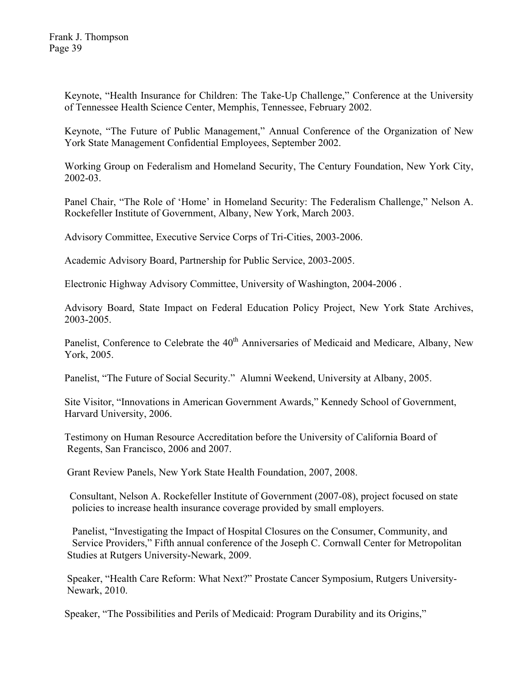Keynote, "Health Insurance for Children: The Take-Up Challenge," Conference at the University of Tennessee Health Science Center, Memphis, Tennessee, February 2002.

Keynote, "The Future of Public Management," Annual Conference of the Organization of New York State Management Confidential Employees, September 2002.

Working Group on Federalism and Homeland Security, The Century Foundation, New York City, 2002-03.

Panel Chair, "The Role of 'Home' in Homeland Security: The Federalism Challenge," Nelson A. Rockefeller Institute of Government, Albany, New York, March 2003.

Advisory Committee, Executive Service Corps of Tri-Cities, 2003-2006.

Academic Advisory Board, Partnership for Public Service, 2003-2005.

Electronic Highway Advisory Committee, University of Washington, 2004-2006 .

Advisory Board, State Impact on Federal Education Policy Project, New York State Archives, 2003-2005.

Panelist, Conference to Celebrate the 40<sup>th</sup> Anniversaries of Medicaid and Medicare, Albany, New York, 2005.

Panelist, "The Future of Social Security." Alumni Weekend, University at Albany, 2005.

 Site Visitor, "Innovations in American Government Awards," Kennedy School of Government, Harvard University, 2006.

 Testimony on Human Resource Accreditation before the University of California Board of Regents, San Francisco, 2006 and 2007.

Grant Review Panels, New York State Health Foundation, 2007, 2008.

 Consultant, Nelson A. Rockefeller Institute of Government (2007-08), project focused on state policies to increase health insurance coverage provided by small employers.

 Panelist, "Investigating the Impact of Hospital Closures on the Consumer, Community, and Service Providers," Fifth annual conference of the Joseph C. Cornwall Center for Metropolitan Studies at Rutgers University-Newark, 2009.

 Speaker, "Health Care Reform: What Next?" Prostate Cancer Symposium, Rutgers University- Newark, 2010.

Speaker, "The Possibilities and Perils of Medicaid: Program Durability and its Origins,"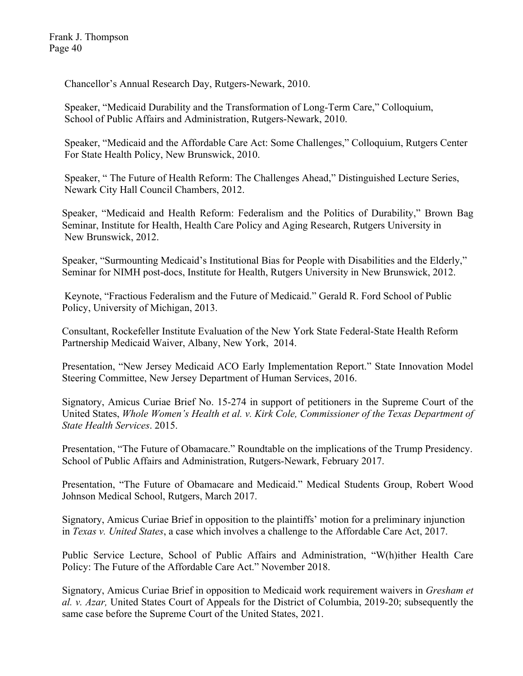Chancellor's Annual Research Day, Rutgers-Newark, 2010.

 Speaker, "Medicaid Durability and the Transformation of Long-Term Care," Colloquium, School of Public Affairs and Administration, Rutgers-Newark, 2010.

 Speaker, "Medicaid and the Affordable Care Act: Some Challenges," Colloquium, Rutgers Center For State Health Policy, New Brunswick, 2010.

 Speaker, " The Future of Health Reform: The Challenges Ahead," Distinguished Lecture Series, Newark City Hall Council Chambers, 2012.

Speaker, "Medicaid and Health Reform: Federalism and the Politics of Durability," Brown Bag Seminar, Institute for Health, Health Care Policy and Aging Research, Rutgers University in New Brunswick, 2012.

Speaker, "Surmounting Medicaid's Institutional Bias for People with Disabilities and the Elderly," Seminar for NIMH post-docs, Institute for Health, Rutgers University in New Brunswick, 2012.

Keynote, "Fractious Federalism and the Future of Medicaid." Gerald R. Ford School of Public Policy, University of Michigan, 2013.

Consultant, Rockefeller Institute Evaluation of the New York State Federal-State Health Reform Partnership Medicaid Waiver, Albany, New York, 2014.

Presentation, "New Jersey Medicaid ACO Early Implementation Report." State Innovation Model Steering Committee, New Jersey Department of Human Services, 2016.

Signatory, Amicus Curiae Brief No. 15-274 in support of petitioners in the Supreme Court of the United States, *Whole Women's Health et al. v. Kirk Cole, Commissioner of the Texas Department of State Health Services*. 2015.

Presentation, "The Future of Obamacare." Roundtable on the implications of the Trump Presidency. School of Public Affairs and Administration, Rutgers-Newark, February 2017.

Presentation, "The Future of Obamacare and Medicaid." Medical Students Group, Robert Wood Johnson Medical School, Rutgers, March 2017.

Signatory, Amicus Curiae Brief in opposition to the plaintiffs' motion for a preliminary injunction in *Texas v. United States*, a case which involves a challenge to the Affordable Care Act, 2017.

Public Service Lecture, School of Public Affairs and Administration, "W(h)ither Health Care Policy: The Future of the Affordable Care Act." November 2018.

Signatory, Amicus Curiae Brief in opposition to Medicaid work requirement waivers in *Gresham et al. v. Azar,* United States Court of Appeals for the District of Columbia, 2019-20; subsequently the same case before the Supreme Court of the United States, 2021.